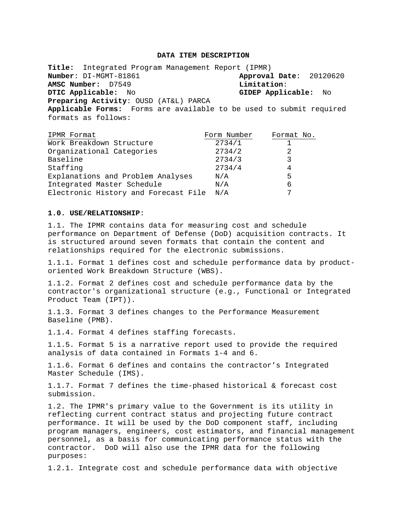#### **DATA ITEM DESCRIPTION**

**Title:** Integrated Program Management Report (IPMR) **Approval Date:** 20120620<br>**Limitation: AMSC Number:** D7549<br>**DTIC Applicable:** No **DTIC Applicable:** No **GIDEP Applicable:** No **Preparing Activity**: OUSD (AT&L) PARCA **Applicable Forms:** Forms are available to be used to submit required

formats as follows:

| IPMR Format                          | Form Number | Format No. |
|--------------------------------------|-------------|------------|
| Work Breakdown Structure             | 2734/1      |            |
| Organizational Categories            | 2734/2      | 2          |
| Baseline                             | 2734/3      |            |
| Staffing                             | 2734/4      | 4          |
| Explanations and Problem Analyses    | N/A         | 5          |
| Integrated Master Schedule           | N/A         | 6          |
| Electronic History and Forecast File | N/A         | 7          |

### **1.0. USE/RELATIONSHIP**:

1.1. The IPMR contains data for measuring cost and schedule performance on Department of Defense (DoD) acquisition contracts. It is structured around seven formats that contain the content and relationships required for the electronic submissions.

1.1.1. Format 1 defines cost and schedule performance data by productoriented Work Breakdown Structure (WBS).

1.1.2. Format 2 defines cost and schedule performance data by the contractor's organizational structure (e.g., Functional or Integrated Product Team (IPT)).

1.1.3. Format 3 defines changes to the Performance Measurement Baseline (PMB).

1.1.4. Format 4 defines staffing forecasts.

1.1.5. Format 5 is a narrative report used to provide the required analysis of data contained in Formats 1-4 and 6.

1.1.6. Format 6 defines and contains the contractor's Integrated Master Schedule (IMS).

1.1.7. Format 7 defines the time-phased historical & forecast cost submission.

1.2. The IPMR's primary value to the Government is its utility in reflecting current contract status and projecting future contract performance. It will be used by the DoD component staff, including program managers, engineers, cost estimators, and financial management personnel, as a basis for communicating performance status with the contractor. DoD will also use the IPMR data for the following purposes:

1.2.1. Integrate cost and schedule performance data with objective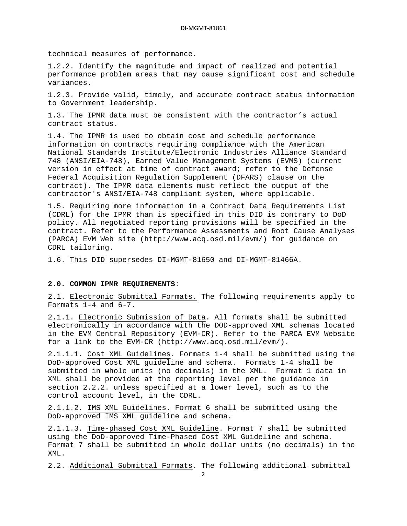technical measures of performance.

1.2.2. Identify the magnitude and impact of realized and potential performance problem areas that may cause significant cost and schedule variances.

1.2.3. Provide valid, timely, and accurate contract status information to Government leadership.

1.3. The IPMR data must be consistent with the contractor's actual contract status.

1.4. The IPMR is used to obtain cost and schedule performance information on contracts requiring compliance with the American National Standards Institute/Electronic Industries Alliance Standard 748 (ANSI/EIA-748), Earned Value Management Systems (EVMS) (current version in effect at time of contract award; refer to the Defense Federal Acquisition Regulation Supplement (DFARS) clause on the contract). The IPMR data elements must reflect the output of the contractor's ANSI/EIA-748 compliant system, where applicable.

1.5. Requiring more information in a Contract Data Requirements List (CDRL) for the IPMR than is specified in this DID is contrary to DoD policy. All negotiated reporting provisions will be specified in the contract. Refer to the Performance Assessments and Root Cause Analyses (PARCA) EVM Web site (http://www.acq.osd.mil/evm/) for guidance on CDRL tailoring.

1.6. This DID supersedes DI-MGMT-81650 and DI-MGMT-81466A.

## **2.0. COMMON IPMR REQUIREMENTS**:

2.1. Electronic Submittal Formats. The following requirements apply to Formats 1-4 and 6-7.

2.1.1. Electronic Submission of Data . All formats shall be submitted electronically in accordance with the DOD-approved XML schemas located in the EVM Central Repository (EVM-CR). Refer to the PARCA EVM Website for a link to the EVM-CR (http://www.acq.osd.mil/evm/).

2.1.1.1. Cost XML Guidelines . Formats 1-4 shall be submitted using the DoD-approved Cost XML guideline and schema. Formats 1-4 shall be submitted in whole units (no decimals) in the XML. Format 1 data in XML shall be provided at the reporting level per the guidance in section 2.2.2. unless specified at a lower level, such as to the control account level, in the CDRL.

2.1.1.2. IMS XML Guidelines . Format 6 shall be submitted using the DoD-approved IMS XML guideline and schema.

2.1.1.3. Time-phased Cost XML Guideline . Format 7 shall be submitted using the DoD-approved Time-Phased Cost XML Guideline and schema. Format 7 shall be submitted in whole dollar units (no decimals) in the XML.

2.2. Additional Submittal Formats. The following additional submittal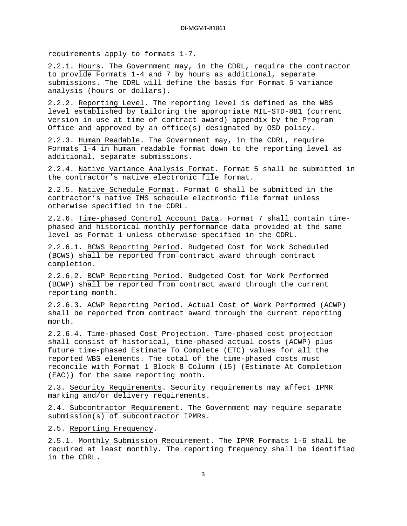requirements apply to formats 1-7.

2.2.1. <u>Hours</u>. The Government may, in the CDRL, require the contractor to provide Formats 1-4 and 7 by hours as additional, separate submissions. The CDRL will define the basis for Format 5 variance analysis (hours or dollars).

2.2.2. <u>Reporting Level</u>. The reporting level is defined as the WBS level established by tailoring the appropriate MIL-STD-881 (current version in use at time of contract award) appendix by the Program Office and approved by an office(s) designated by OSD policy.

2.2.3. <u>Human Readable</u>. The Government may, in the CDRL, require Formats 1-4 in human readable format down to the reporting level as additional, separate submissions.

2.2.4. Native Variance Analysis Format . Format 5 shall be submitted in the contractor's native electronic file format.

2.2.5. Native Schedule Format . Format 6 shall be submitted in the contractor's native IMS schedule electronic file format unless otherwise specified in the CDRL.

2.2.6. <u>Time-phased Control Account Data</u>. Format 7 shall contain timephased and historical monthly performance data provided at the same level as Format 1 unless otherwise specified in the CDRL.

2.2.6.1. <u>BCWS Reporting Period</u>. Budgeted Cost for Work Scheduled (BCWS) shall be reported from contract award through contract completion.

2.2.6.2. <u>BCWP Reporting Period</u>. Budgeted Cost for Work Performed (BCWP) shall be reported from contract award through the current reporting month.

2.2.6.3. <u>ACWP Reporting Period</u>. Actual Cost of Work Performed (ACWP) shall be reported from contract award through the current reporting month.

2.2.6.4. <u>Time-phased Cost Projection</u>. Time-phased cost projection shall consist of historical, time-phased actual costs (ACWP) plus future time-phased Estimate To Complete (ETC) values for all the reported WBS elements. The total of the time-phased costs must reconcile with Format 1 Block 8 Column (15) (Estimate At Completion (EAC)) for the same reporting month.

2.3. <u>Security Requirements</u>. Security requirements may affect IPMR marking and/or delivery requirements.

2.4. <u>Subcontractor Requirement</u>. The Government may require separate submission(s) of subcontractor IPMRs.

2.5. Reporting Frequency .

2.5.1. Monthly Submission Requirement. The IPMR Formats 1-6 shall be required at least monthly. The reporting frequency shall be identified in the CDRL.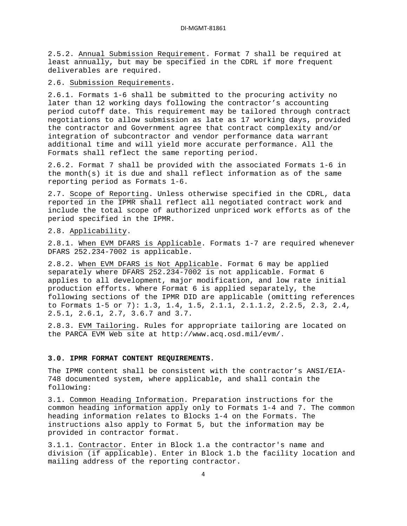2.5.2. Annual Submission Requirement . Format 7 shall be required at least annually, but may be specified in the CDRL if more frequent deliverables are required.

2.6. Submission Requirements .

2.6.1. Formats 1-6 shall be submitted to the procuring activity no later than 12 working days following the contractor's accounting period cutoff date. This requirement may be tailored through contract negotiations to allow submission as late as 17 working days, provided the contractor and Government agree that contract complexity and/or integration of subcontractor and vendor performance data warrant additional time and will yield more accurate performance. All the Formats shall reflect the same reporting period.

2.6.2. Format 7 shall be provided with the associated Formats 1-6 in the month(s) it is due and shall reflect information as of the same reporting period as Formats 1-6.

2.7. <u>Scope of Reporting</u>. Unless otherwise specified in the CDRL, data reported in the IPMR shall reflect all negotiated contract work and include the total scope of authorized unpriced work efforts as of the period specified in the IPMR.

2.8. Applicability .

2.8.1. When EVM DFARS is Applicable . Formats 1-7 are required whenever DFARS 252.234-7002 is applicable.

2.8.2. <u>When EVM DFARS is Not Applicable</u>. Format 6 may be applied separately where DFARS 252.234-7002 is not applicable. Format 6 applies to all development, major modification, and low rate initial production efforts. Where Format 6 is applied separately, the following sections of the IPMR DID are applicable (omitting references to Formats 1-5 or 7): 1.3, 1.4, 1.5, 2.1.1, 2.1.1.2, 2.2.5, 2.3, 2.4, 2.5.1, 2.6.1, 2.7, 3.6.7 and 3.7.

2.8.3. <u>EVM Tailoring</u>. Rules for appropriate tailoring are located on the PARCA EVM Web site at http://www.acq.osd.mil/evm/.

#### **3.0. IPMR FORMAT CONTENT REQUIREMENTS.**

The IPMR content shall be consistent with the contractor's ANSI/EIA-748 documented system, where applicable, and shall contain the following:

3.1. Common Heading Information . Preparation instructions for the common heading information apply only to Formats 1-4 and 7. The common heading information relates to Blocks 1-4 on the Formats. The instructions also apply to Format 5, but the information may be provided in contractor format.

3.1.1. Contractor. Enter in Block 1.a the contractor's name and division (if applicable). Enter in Block 1.b the facility location and mailing address of the reporting contractor.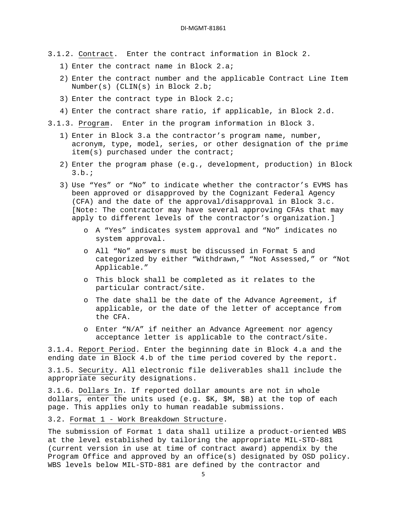- 3.1.2. Contract . Enter the contract information in Block 2.
	- 1) Enter the contract name in Block 2.a;
	- 2) Enter the contract number and the applicable Contract Line Item Number(s) (CLIN(s) in Block 2.b;
	- 3) Enter the contract type in Block 2.c;
	- 4) Enter the contract share ratio, if applicable, in Block 2.d.

3.1.3. Program . Enter in the program information in Block 3.

- 1) Enter in Block 3.a the contractor's program name, number, acronym, type, model, series, or other designation of the prime item(s) purchased under the contract;
- 2) Enter the program phase (e.g., development, production) in Block 3.b.;
- 3) Use "Yes" or "No" to indicate whether the contractor's EVMS has been approved or disapproved by the Cognizant Federal Agency (CFA) and the date of the approval/disapproval in Block 3.c. [Note: The contractor may have several approving CFAs that may apply to different levels of the contractor's organization.]
	- o A "Yes" indicates system approval and "No" indicates no system approval.
	- o All "No" answers must be discussed in Format 5 and categorized by either "Withdrawn," "Not Assessed," or "Not Applicable."
	- o This block shall be completed as it relates to the particular contract/site.
	- o The date shall be the date of the Advance Agreement, if applicable, or the date of the letter of acceptance from the CFA.
	- o Enter "N/A" if neither an Advance Agreement nor agency acceptance letter is applicable to the contract/site.

3.1.4. <u>Report Period</u>. Enter the beginning date in Block 4.a and the ending date in Block 4.b of the time period covered by the report.

3.1.5. Security . All electronic file deliverables shall include the appropriate security designations.

3.1.6. Dollars In . If reported dollar amounts are not in whole dollars, enter the units used (e.g. \$K, \$M, \$B) at the top of each page. This applies only to human readable submissions.

3.2. Format 1 - Work Breakdown Structure .

The submission of Format 1 data shall utilize a product-oriented WBS at the level established by tailoring the appropriate MIL-STD-881 (current version in use at time of contract award) appendix by the Program Office and approved by an office(s) designated by OSD policy. WBS levels below MIL-STD-881 are defined by the contractor and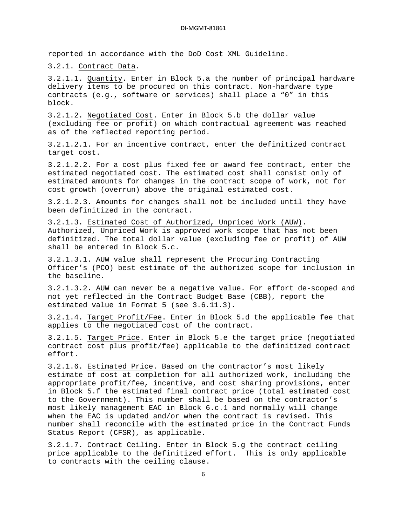reported in accordance with the DoD Cost XML Guideline.

3.2.1. Contract Data .

3.2.1.1. <u>Quantity</u>. Enter in Block 5.a the number of principal hardware delivery items to be procured on this contract. Non-hardware type contracts (e.g., software or services) shall place a "0" in this block.

3.2.1.2. Negotiated Cost . Enter in Block 5.b the dollar value (excluding fee or profit) on which contractual agreement was reached as of the reflected reporting period.

3.2.1.2.1. For an incentive contract, enter the definitized contract target cost.

3.2.1.2.2. For a cost plus fixed fee or award fee contract, enter the estimated negotiated cost. The estimated cost shall consist only of estimated amounts for changes in the contract scope of work, not for cost growth (overrun) above the original estimated cost.

3.2.1.2.3. Amounts for changes shall not be included until they have been definitized in the contract.

3.2.1.3. Estimated Cost of Authorized, Unpriced Work (AUW) . Authorized, Unpriced Work is approved work scope that has not been definitized. The total dollar value (excluding fee or profit) of AUW shall be entered in Block 5.c.

3.2.1.3.1. AUW value shall represent the Procuring Contracting Officer's (PCO) best estimate of the authorized scope for inclusion in the baseline.

3.2.1.3.2. AUW can never be a negative value. For effort de-scoped and not yet reflected in the Contract Budget Base (CBB), report the estimated value in Format 5 (see 3.6.11.3).

3.2.1.4. <u>Target Profit/Fee</u>. Enter in Block 5.d the applicable fee that applies to the negotiated cost of the contract.

3.2.1.5. <u>Target Price</u>. Enter in Block 5.e the target price (negotiated contract cost plus profit/fee) applicable to the definitized contract effort.

3.2.1.6. Estimated Price . Based on the contractor's most likely estimate of cost at completion for all authorized work, including the appropriate profit/fee, incentive, and cost sharing provisions, enter in Block 5.f the estimated final contract price (total estimated cost to the Government). This number shall be based on the contractor's most likely management EAC in Block 6.c.1 and normally will change when the EAC is updated and/or when the contract is revised. This number shall reconcile with the estimated price in the Contract Funds Status Report (CFSR), as applicable.

3.2.1.7. Contract Ceiling. Enter in Block 5.g the contract ceiling price applicable to the definitized effort. This is only applicable to contracts with the ceiling clause.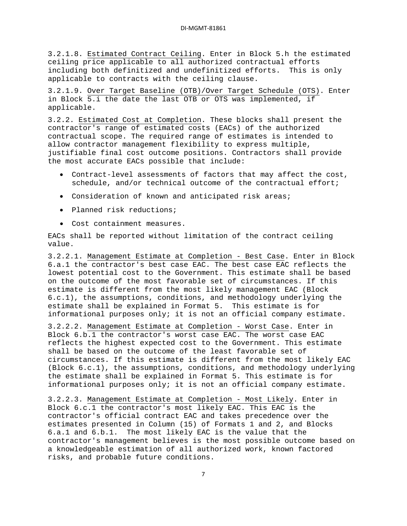3.2.1.8. Estimated Contract Ceiling . Enter in Block 5.h the estimated ceiling price applicable to all authorized contractual efforts including both definitized and undefinitized efforts. This is only applicable to contracts with the ceiling clause.

3.2.1.9. Over Target Baseline (OTB)/Over Target Schedule (OTS) . Enter in Block 5.i the date the last OTB or OTS was implemented, if applicable.

3.2.2. Estimated Cost at Completion . These blocks shall present the contractor's range of estimated costs (EACs) of the authorized contractual scope. The required range of estimates is intended to allow contractor management flexibility to express multiple, justifiable final cost outcome positions. Contractors shall provide the most accurate EACs possible that include:

- Contract-level assessments of factors that may affect the cost, schedule, and/or technical outcome of the contractual effort;
- Consideration of known and anticipated risk areas;
- Planned risk reductions;
- Cost containment measures.

EACs shall be reported without limitation of the contract ceiling value.

3.2.2.1. Management Estimate at Completion - Best Case . Enter in Block 6.a.1 the contractor's best case EAC. The best case EAC reflects the lowest potential cost to the Government. This estimate shall be based on the outcome of the most favorable set of circumstances. If this estimate is different from the most likely management EAC (Block 6.c.1), the assumptions, conditions, and methodology underlying the estimate shall be explained in Format 5. This estimate is for informational purposes only; it is not an official company estimate.

3.2.2.2. Management Estimate at Completion - Worst Case. Enter in Block 6.b.1 the contractor's worst case EAC. The worst case EAC reflects the highest expected cost to the Government. This estimate shall be based on the outcome of the least favorable set of circumstances. If this estimate is different from the most likely EAC (Block 6.c.1), the assumptions, conditions, and methodology underlying the estimate shall be explained in Format 5. This estimate is for informational purposes only; it is not an official company estimate.

3.2.2.3. Management Estimate at Completion - Most Likely. Enter in Block 6.c.1 the contractor's most likely EAC. This EAC is the contractor's official contract EAC and takes precedence over the estimates presented in Column (15) of Formats 1 and 2, and Blocks 6.a.1 and 6.b.1. The most likely EAC is the value that the contractor's management believes is the most possible outcome based on a knowledgeable estimation of all authorized work, known factored risks, and probable future conditions.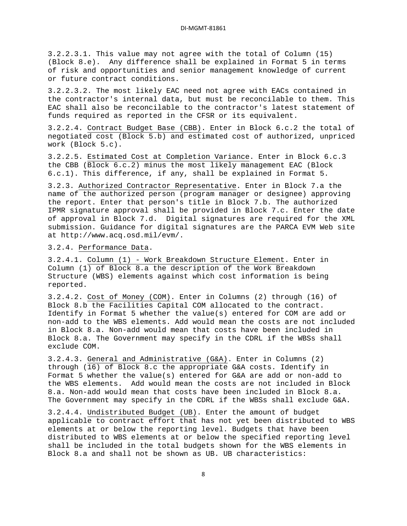3.2.2.3.1. This value may not agree with the total of Column (15) (Block 8.e). Any difference shall be explained in Format 5 in terms of risk and opportunities and senior management knowledge of current or future contract conditions.

3.2.2.3.2. The most likely EAC need not agree with EACs contained in the contractor's internal data, but must be reconcilable to them. This EAC shall also be reconcilable to the contractor's latest statement of funds required as reported in the CFSR or its equivalent.

3.2.2.4. Contract Budget Base (CBB) . Enter in Block 6.c.2 the total of negotiated cost (Block 5.b) and estimated cost of authorized, unpriced work (Block 5.c).

3.2.2.5. Estimated Cost at Completion Variance . Enter in Block 6.c.3 the CBB (Block 6.c.2) minus the most likely management EAC (Block 6.c.1). This difference, if any, shall be explained in Format 5.

3.2.3. Authorized Contractor Representative . Enter in Block 7.a the name of the authorized person (program manager or designee) approving the report. Enter that person's title in Block 7.b. The authorized IPMR signature approval shall be provided in Block 7.c. Enter the date of approval in Block 7.d. Digital signatures are required for the XML submission. Guidance for digital signatures are the PARCA EVM Web site at http://www.acq.osd.mil/evm/.

3.2.4. Performance Data .

3.2.4.1. Column (1) - Work Breakdown Structure Element . Enter in Column (1) of Block 8.a the description of the Work Breakdown Structure (WBS) elements against which cost information is being reported.

3.2.4.2. Cost of Money (COM) . Enter in Columns (2) through (16) of Block 8.b the Facilities Capital COM allocated to the contract. Identify in Format 5 whether the value(s) entered for COM are add or non-add to the WBS elements. Add would mean the costs are not included in Block 8.a. Non-add would mean that costs have been included in Block 8.a. The Government may specify in the CDRL if the WBSs shall exclude COM.

3.2.4.3. General and Administrative (G&A) . Enter in Columns (2) through (16) of Block 8.c the appropriate G&A costs. Identify in Format 5 whether the value(s) entered for G&A are add or non-add to the WBS elements. Add would mean the costs are not included in Block 8.a. Non-add would mean that costs have been included in Block 8.a. The Government may specify in the CDRL if the WBSs shall exclude G&A.

3.2.4.4. Undistributed Budget (UB). Enter the amount of budget applicable to contract effort that has not yet been distributed to WBS elements at or below the reporting level. Budgets that have been distributed to WBS elements at or below the specified reporting level shall be included in the total budgets shown for the WBS elements in Block 8.a and shall not be shown as UB. UB characteristics: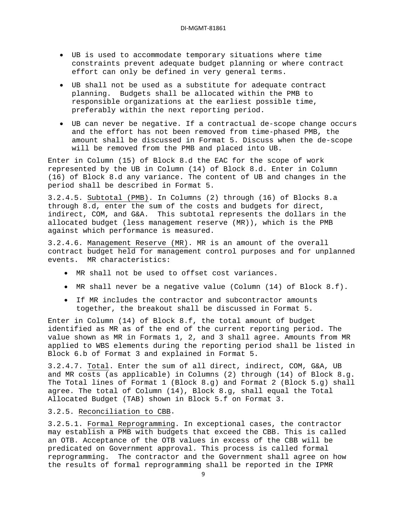- UB is used to accommodate temporary situations where time constraints prevent adequate budget planning or where contract effort can only be defined in very general terms.
- UB shall not be used as a substitute for adequate contract planning. Budgets shall be allocated within the PMB to responsible organizations at the earliest possible time, preferably within the next reporting period.
- UB can never be negative. If a contractual de-scope change occurs and the effort has not been removed from time-phased PMB, the amount shall be discussed in Format 5. Discuss when the de-scope will be removed from the PMB and placed into UB.

Enter in Column (15) of Block 8.d the EAC for the scope of work represented by the UB in Column (14) of Block 8.d. Enter in Column (16) of Block 8.d any variance. The content of UB and changes in the period shall be described in Format 5.

3.2.4.5. <u>Subtotal (PMB)</u>. In Columns (2) through (16) of Blocks 8.a through 8.d, enter the sum of the costs and budgets for direct, indirect, COM, and G&A. This subtotal represents the dollars in the allocated budget (less management reserve (MR)), which is the PMB against which performance is measured.

3.2.4.6. Management Reserve (MR) . MR is an amount of the overall contract budget held for management control purposes and for unplanned events. MR characteristics:

- MR shall not be used to offset cost variances.
- MR shall never be a negative value (Column (14) of Block 8.f).
- If MR includes the contractor and subcontractor amounts together, the breakout shall be discussed in Format 5.

Enter in Column (14) of Block 8.f, the total amount of budget identified as MR as of the end of the current reporting period. The value shown as MR in Formats 1, 2, and 3 shall agree. Amounts from MR applied to WBS elements during the reporting period shall be listed in Block 6.b of Format 3 and explained in Format 5.

3.2.4.7. <u>Total</u>. Enter the sum of all direct, indirect, COM, G&A, UB and MR costs (as applicable) in Columns (2) through (14) of Block 8.g. The Total lines of Format 1 (Block 8.g) and Format 2 (Block 5.g) shall agree. The total of Column (14), Block 8.g, shall equal the Total Allocated Budget (TAB) shown in Block 5.f on Format 3.

# 3.2.5. Reconciliation to CBB .

3.2.5.1. Formal Reprogramming. In exceptional cases, the contractor may establish a PMB with budgets that exceed the CBB. This is called an OTB. Acceptance of the OTB values in excess of the CBB will be predicated on Government approval. This process is called formal reprogramming. The contractor and the Government shall agree on how the results of formal reprogramming shall be reported in the IPMR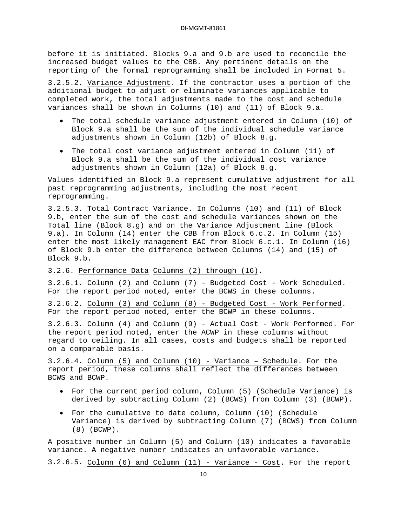before it is initiated. Blocks 9.a and 9.b are used to reconcile the increased budget values to the CBB. Any pertinent details on the reporting of the formal reprogramming shall be included in Format 5.

3.2.5.2. Variance Adjustment . If the contractor uses a portion of the additional budget to adjust or eliminate variances applicable to completed work, the total adjustments made to the cost and schedule variances shall be shown in Columns (10) and (11) of Block 9.a.

- The total schedule variance adjustment entered in Column (10) of Block 9.a shall be the sum of the individual schedule variance adjustments shown in Column (12b) of Block 8.g.
- The total cost variance adjustment entered in Column (11) of Block 9.a shall be the sum of the individual cost variance adjustments shown in Column (12a) of Block 8.g.

Values identified in Block 9.a represent cumulative adjustment for all past reprogramming adjustments, including the most recent reprogramming.

3.2.5.3. Total Contract Variance . In Columns (10) and (11) of Block 9.b, enter the sum of the cost and schedule variances shown on the Total line (Block 8.g) and on the Variance Adjustment line (Block 9.a). In Column (14) enter the CBB from Block 6.c.2. In Column (15) enter the most likely management EAC from Block 6.c.1. In Column (16) of Block 9.b enter the difference between Columns (14) and (15) of Block 9.b.

3.2.6. Performance Data Columns (2) through (16) .

3.2.6.1. Column (2) and Column (7) - Budgeted Cost - Work Scheduled . For the report period noted, enter the BCWS in these columns.

3.2.6.2. Column (3) and Column (8) - Budgeted Cost - Work Performed . For the report period noted, enter the BCWP in these columns.

3.2.6.3. Column (4) and Column (9) - Actual Cost - Work Performed . For the report period noted, enter the ACWP in these columns without regard to ceiling. In all cases, costs and budgets shall be reported on a comparable basis.

3.2.6.4. <u>Column (5) and Column (10)</u> - Variance - Schedule. For the report period, these columns shall reflect the differences between BCWS and BCWP.

- For the current period column, Column (5) (Schedule Variance) is derived by subtracting Column (2) (BCWS) from Column (3) (BCWP).
- For the cumulative to date column, Column (10) (Schedule Variance) is derived by subtracting Column (7) (BCWS) from Column (8) (BCWP).

A positive number in Column (5) and Column (10) indicates a favorable variance. A negative number indicates an unfavorable variance.

3.2.6.5. Column (6) and Column (11) - Variance - Cost. For the report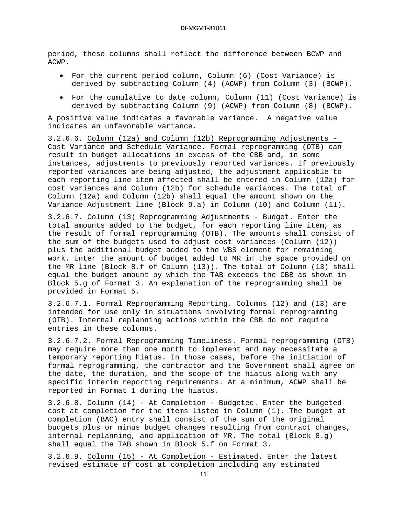period, these columns shall reflect the difference between BCWP and ACWP.

- For the current period column, Column (6) (Cost Variance) is derived by subtracting Column (4) (ACWP) from Column (3) (BCWP).
- For the cumulative to date column, Column (11) (Cost Variance) is derived by subtracting Column (9) (ACWP) from Column (8) (BCWP).

A positive value indicates a favorable variance. A negative value indicates an unfavorable variance.

3.2.6.6. Column (12a) and Column (12b) Reprogramming Adjustments - Cost Variance and Schedule Variance . Formal reprogramming (OTB) can result in budget allocations in excess of the CBB and, in some instances, adjustments to previously reported variances. If previously reported variances are being adjusted, the adjustment applicable to each reporting line item affected shall be entered in Column (12a) for cost variances and Column (12b) for schedule variances. The total of Column (12a) and Column (12b) shall equal the amount shown on the Variance Adjustment line (Block 9.a) in Column (10) and Column (11).

3.2.6.7. Column (13) Reprogramming Adjustments - Budget . Enter the total amounts added to the budget, for each reporting line item, as the result of formal reprogramming (OTB). The amounts shall consist of the sum of the budgets used to adjust cost variances (Column (12)) plus the additional budget added to the WBS element for remaining work. Enter the amount of budget added to MR in the space provided on the MR line (Block 8.f of Column (13)). The total of Column (13) shall equal the budget amount by which the TAB exceeds the CBB as shown in Block 5.g of Format 3. An explanation of the reprogramming shall be provided in Format 5.

3.2.6.7.1. Formal Reprogramming Reporting . Columns (12) and (13) are intended for use only in situations involving formal reprogramming (OTB). Internal replanning actions within the CBB do not require entries in these columns.

3.2.6.7.2. Formal Reprogramming Timeliness . Formal reprogramming (OTB) may require more than one month to implement and may necessitate a temporary reporting hiatus. In those cases, before the initiation of formal reprogramming, the contractor and the Government shall agree on the date, the duration, and the scope of the hiatus along with any specific interim reporting requirements. At a minimum, ACWP shall be reported in Format 1 during the hiatus.

3.2.6.8. Column (14) - At Completion - Budgeted . Enter the budgeted cost at completion for the items listed in Column (1). The budget at completion (BAC) entry shall consist of the sum of the original budgets plus or minus budget changes resulting from contract changes, internal replanning, and application of MR. The total (Block 8.g) shall equal the TAB shown in Block 5.f on Format 3.

3.2.6.9. Column (15) - At Completion - Estimated. Enter the latest revised estimate of cost at completion including any estimated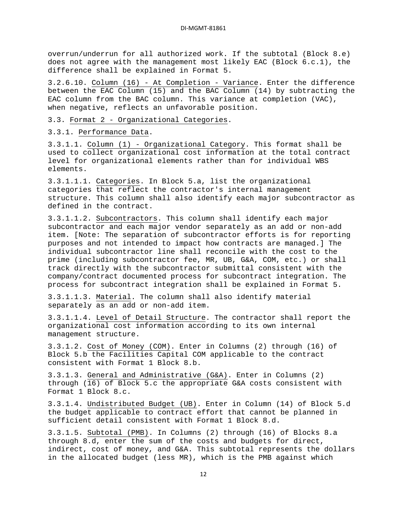overrun/underrun for all authorized work. If the subtotal (Block 8.e) does not agree with the management most likely EAC (Block 6.c.1), the difference shall be explained in Format 5.

3.2.6.10. Column (16) - At Completion - Variance . Enter the difference between the EAC Column (15) and the BAC Column (14) by subtracting the EAC column from the BAC column. This variance at completion (VAC), when negative, reflects an unfavorable position.

3.3. Format 2 - Organizational Categories .

3.3.1. Performance Data .

3.3.1.1. Column (1) - Organizational Category . This format shall be used to collect organizational cost information at the total contract level for organizational elements rather than for individual WBS elements.

3.3.1.1.1. Categories . In Block 5.a, list the organizational categories that reflect the contractor's internal management structure. This column shall also identify each major subcontractor as defined in the contract.

3.3.1.1.2. Subcontractors . This column shall identify each major subcontractor and each major vendor separately as an add or non-add item. [Note: The separation of subcontractor efforts is for reporting purposes and not intended to impact how contracts are managed.] The individual subcontractor line shall reconcile with the cost to the prime (including subcontractor fee, MR, UB, G&A, COM, etc.) or shall track directly with the subcontractor submittal consistent with the company/contract documented process for subcontract integration. The process for subcontract integration shall be explained in Format 5.

3.3.1.1.3. Material . The column shall also identify material separately as an add or non-add item.

3.3.1.1.4. Level of Detail Structure . The contractor shall report the organizational cost information according to its own internal management structure.

3.3.1.2. Cost of Money (COM) . Enter in Columns (2) through (16) of Block 5.b the Facilities Capital COM applicable to the contract consistent with Format 1 Block 8.b.

3.3.1.3. General and Administrative (G&A) . Enter in Columns (2) through (16) of Block 5.c the appropriate G&A costs consistent with Format 1 Block 8.c.

3.3.1.4. Undistributed Budget (UB) . Enter in Column (14) of Block 5.d the budget applicable to contract effort that cannot be planned in sufficient detail consistent with Format 1 Block 8.d.

3.3.1.5. Subtotal (PMB). In Columns (2) through (16) of Blocks 8.a through 8.d, enter the sum of the costs and budgets for direct, indirect, cost of money, and G&A. This subtotal represents the dollars in the allocated budget (less MR), which is the PMB against which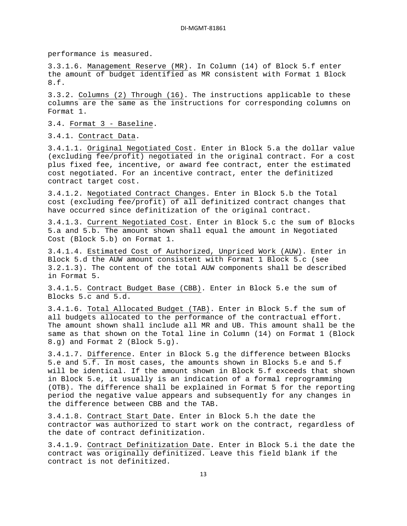performance is measured.

3.3.1.6. Management Reserve (MR) . In Column (14) of Block 5.f enter the amount of budget identified as MR consistent with Format 1 Block 8.f.

3.3.2. Columns (2) Through (16) . The instructions applicable to these columns are the same as the instructions for corresponding columns on Format 1.

3.4. Format 3 - Baseline .

3.4.1. Contract Data .

3.4.1.1. Original Negotiated Cost . Enter in Block 5.a the dollar value (excluding fee/profit) negotiated in the original contract. For a cost plus fixed fee, incentive, or award fee contract, enter the estimated cost negotiated. For an incentive contract, enter the definitized contract target cost.

3.4.1.2. Negotiated Contract Changes . Enter in Block 5.b the Total cost (excluding fee/profit) of all definitized contract changes that have occurred since definitization of the original contract.

3.4.1.3. <u>Current Negotiated Cost</u>. Enter in Block 5.c the sum of Blocks 5.a and 5.b. The amount shown shall equal the amount in Negotiated Cost (Block 5.b) on Format 1.

3.4.1.4. Estimated Cost of Authorized, Unpriced Work (AUW) . Enter in Block 5.d the AUW amount consistent with Format 1 Block 5.c (see 3.2.1.3). The content of the total AUW components shall be described in Format 5.

3.4.1.5. <u>Contract Budget Base (CBB)</u>. Enter in Block 5.e the sum of Blocks 5.c and 5.d.

3.4.1.6. Total Allocated Budget (TAB) . Enter in Block 5.f the sum of all budgets allocated to the performance of the contractual effort. The amount shown shall include all MR and UB. This amount shall be the same as that shown on the Total line in Column (14) on Format 1 (Block 8.g) and Format 2 (Block 5.g).

3.4.1.7. <u>Difference</u>. Enter in Block 5.g the difference between Blocks 5.e and 5.f. In most cases, the amounts shown in Blocks 5.e and 5.f will be identical. If the amount shown in Block 5.f exceeds that shown in Block 5.e, it usually is an indication of a formal reprogramming (OTB). The difference shall be explained in Format 5 for the reporting period the negative value appears and subsequently for any changes in the difference between CBB and the TAB.

3.4.1.8. Contract Start Date . Enter in Block 5.h the date the contractor was authorized to start work on the contract, regardless of the date of contract definitization.

3.4.1.9. Contract Definitization Date. Enter in Block 5.i the date the contract was originally definitized. Leave this field blank if the contract is not definitized.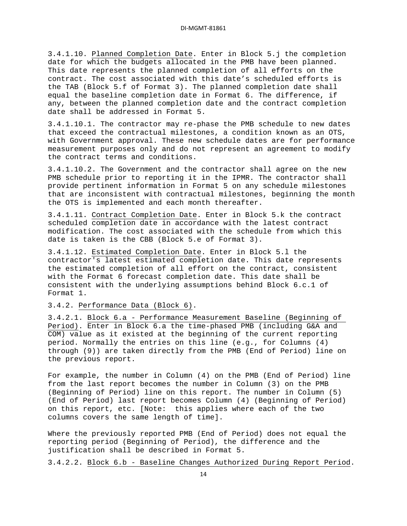3.4.1.10. Planned Completion Date . Enter in Block 5.j the completion date for which the budgets allocated in the PMB have been planned. This date represents the planned completion of all efforts on the contract. The cost associated with this date's scheduled efforts is the TAB (Block 5.f of Format 3). The planned completion date shall equal the baseline completion date in Format 6. The difference, if any, between the planned completion date and the contract completion date shall be addressed in Format 5.

3.4.1.10.1. The contractor may re-phase the PMB schedule to new dates that exceed the contractual milestones, a condition known as an OTS, with Government approval. These new schedule dates are for performance measurement purposes only and do not represent an agreement to modify the contract terms and conditions.

3.4.1.10.2. The Government and the contractor shall agree on the new PMB schedule prior to reporting it in the IPMR. The contractor shall provide pertinent information in Format 5 on any schedule milestones that are inconsistent with contractual milestones, beginning the month the OTS is implemented and each month thereafter.

3.4.1.11. Contract Completion Date . Enter in Block 5.k the contract scheduled completion date in accordance with the latest contract modification. The cost associated with the schedule from which this date is taken is the CBB (Block 5.e of Format 3).

3.4.1.12. Estimated Completion Date . Enter in Block 5.l the contractor's latest estimated completion date. This date represents the estimated completion of all effort on the contract, consistent with the Format 6 forecast completion date. This date shall be consistent with the underlying assumptions behind Block 6.c.1 of Format 1.

# 3.4.2. Performance Data (Block 6) .

3.4.2.1. Block 6.a - Performance Measurement Baseline (Beginning of Period) . Enter in Block 6.a the time-phased PMB (including G&A and COM) value as it existed at the beginning of the current reporting period. Normally the entries on this line (e.g., for Columns (4) through (9)) are taken directly from the PMB (End of Period) line on the previous report.

For example, the number in Column (4) on the PMB (End of Period) line from the last report becomes the number in Column (3) on the PMB (Beginning of Period) line on this report. The number in Column (5) (End of Period) last report becomes Column (4) (Beginning of Period) on this report, etc. [Note: this applies where each of the two columns covers the same length of time].

Where the previously reported PMB (End of Period) does not equal the reporting period (Beginning of Period), the difference and the justification shall be described in Format 5.

3.4.2.2. Block 6.b - Baseline Changes Authorized During Report Period.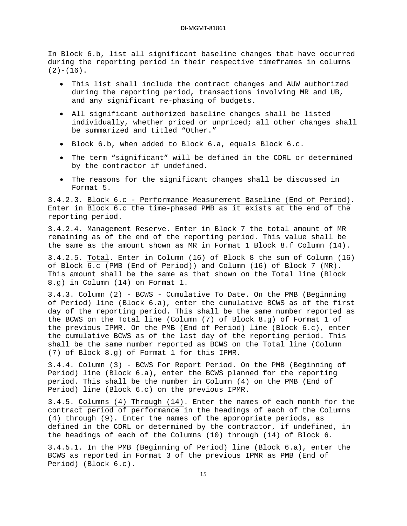In Block 6.b, list all significant baseline changes that have occurred during the reporting period in their respective timeframes in columns  $(2)-(16)$ .

- This list shall include the contract changes and AUW authorized during the reporting period, transactions involving MR and UB, and any significant re-phasing of budgets.
- All significant authorized baseline changes shall be listed individually, whether priced or unpriced; all other changes shall be summarized and titled "Other."
- Block 6.b, when added to Block 6.a, equals Block 6.c.
- The term "significant" will be defined in the CDRL or determined by the contractor if undefined.
- The reasons for the significant changes shall be discussed in Format 5.

3.4.2.3. Block 6.c - Performance Measurement Baseline (End of Period) . Enter in Block 6.c the time-phased PMB as it exists at the end of the reporting period.

3.4.2.4. Management Reserve . Enter in Block 7 the total amount of MR remaining as of the end of the reporting period. This value shall be the same as the amount shown as MR in Format 1 Block 8.f Column (14).

3.4.2.5. Total . Enter in Column (16) of Block 8 the sum of Column (16) of Block 6.c (PMB (End of Period)) and Column (16) of Block 7 (MR). This amount shall be the same as that shown on the Total line (Block 8.g) in Column (14) on Format 1.

3.4.3. Column (2) - BCWS - Cumulative To Date . On the PMB (Beginning of Period) line (Block 6.a), enter the cumulative BCWS as of the first day of the reporting period. This shall be the same number reported as the BCWS on the Total line (Column (7) of Block 8.g) of Format 1 of the previous IPMR. On the PMB (End of Period) line (Block 6.c), enter the cumulative BCWS as of the last day of the reporting period. This shall be the same number reported as BCWS on the Total line (Column (7) of Block 8.g) of Format 1 for this IPMR.

3.4.4. Column (3) - BCWS For Report Period . On the PMB (Beginning of Period) line (Block 6.a), enter the BCWS planned for the reporting period. This shall be the number in Column (4) on the PMB (End of Period) line (Block 6.c) on the previous IPMR.

3.4.5. Columns (4) Through (14) . Enter the names of each month for the contract period of performance in the headings of each of the Columns (4) through (9). Enter the names of the appropriate periods, as defined in the CDRL or determined by the contractor, if undefined, in the headings of each of the Columns (10) through (14) of Block 6.

3.4.5.1. In the PMB (Beginning of Period) line (Block 6.a), enter the BCWS as reported in Format 3 of the previous IPMR as PMB (End of Period) (Block 6.c).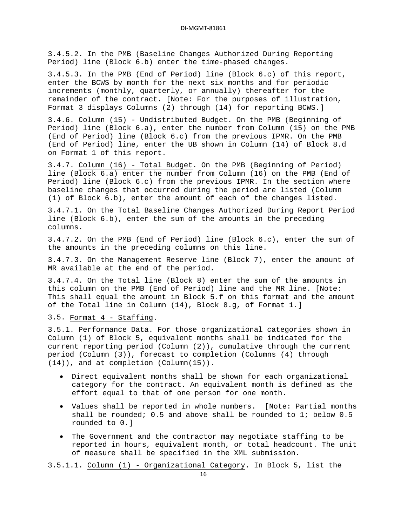3.4.5.2. In the PMB (Baseline Changes Authorized During Reporting Period) line (Block 6.b) enter the time-phased changes.

3.4.5.3. In the PMB (End of Period) line (Block 6.c) of this report, enter the BCWS by month for the next six months and for periodic increments (monthly, quarterly, or annually) thereafter for the remainder of the contract. [Note: For the purposes of illustration, Format 3 displays Columns (2) through (14) for reporting BCWS.]

3.4.6. Column (15) - Undistributed Budget . On the PMB (Beginning of Period) line (Block 6.a), enter the number from Column (15) on the PMB (End of Period) line (Block 6.c) from the previous IPMR. On the PMB (End of Period) line, enter the UB shown in Column (14) of Block 8.d on Format 1 of this report.

3.4.7. Column (16) - Total Budget . On the PMB (Beginning of Period) line (Block 6.a) enter the number from Column (16) on the PMB (End of Period) line (Block 6.c) from the previous IPMR. In the section where baseline changes that occurred during the period are listed (Column (1) of Block 6.b), enter the amount of each of the changes listed.

3.4.7.1. On the Total Baseline Changes Authorized During Report Period line (Block 6.b), enter the sum of the amounts in the preceding columns.

3.4.7.2. On the PMB (End of Period) line (Block 6.c), enter the sum of the amounts in the preceding columns on this line.

3.4.7.3. On the Management Reserve line (Block 7), enter the amount of MR available at the end of the period.

3.4.7.4. On the Total line (Block 8) enter the sum of the amounts in this column on the PMB (End of Period) line and the MR line. [Note: This shall equal the amount in Block 5.f on this format and the amount of the Total line in Column (14), Block 8.g, of Format 1.]

## 3.5. Format 4 - Staffing .

3.5.1. Performance Data . For those organizational categories shown in Column (1) of Block 5, equivalent months shall be indicated for the current reporting period (Column (2)), cumulative through the current period (Column (3)), forecast to completion (Columns (4) through (14)), and at completion (Column(15)).

- Direct equivalent months shall be shown for each organizational category for the contract. An equivalent month is defined as the effort equal to that of one person for one month.
- Values shall be reported in whole numbers. [Note: Partial months shall be rounded; 0.5 and above shall be rounded to 1; below 0.5 rounded to 0.]
- The Government and the contractor may negotiate staffing to be reported in hours, equivalent month, or total headcount. The unit of measure shall be specified in the XML submission.

3.5.1.1. Column (1) - Organizational Category. In Block 5, list the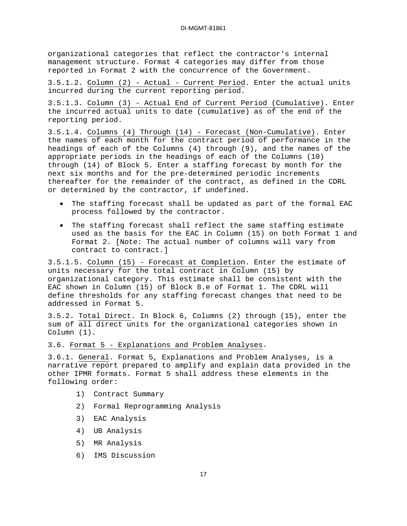organizational categories that reflect the contractor's internal management structure. Format 4 categories may differ from those reported in Format 2 with the concurrence of the Government.

3.5.1.2. <u>Column (2) - Actual - Current Period</u>. Enter the actual units incurred during the current reporting period.

3.5.1.3. Column (3) - Actual End of Current Period (Cumulative) . Enter the incurred actual units to date (cumulative) as of the end of the reporting period.

3.5.1.4. Columns (4) Through (14) - Forecast (Non-Cumulative) . Enter the names of each month for the contract period of performance in the headings of each of the Columns (4) through (9), and the names of the appropriate periods in the headings of each of the Columns (10) through (14) of Block 5. Enter a staffing forecast by month for the next six months and for the pre-determined periodic increments thereafter for the remainder of the contract, as defined in the CDRL or determined by the contractor, if undefined.

- The staffing forecast shall be updated as part of the formal EAC process followed by the contractor.
- The staffing forecast shall reflect the same staffing estimate used as the basis for the EAC in Column (15) on both Format 1 and Format 2. [Note: The actual number of columns will vary from contract to contract.]

3.5.1.5. Column (15) - Forecast at Completion . Enter the estimate of units necessary for the total contract in Column (15) by organizational category. This estimate shall be consistent with the EAC shown in Column (15) of Block 8.e of Format 1. The CDRL will define thresholds for any staffing forecast changes that need to be addressed in Format 5.

3.5.2. Total Direct . In Block 6, Columns (2) through (15), enter the sum of all direct units for the organizational categories shown in Column (1).

3.6. Format 5 - Explanations and Problem Analyses .

3.6.1. General . Format 5, Explanations and Problem Analyses, is a narrative report prepared to amplify and explain data provided in the other IPMR formats. Format 5 shall address these elements in the following order:

- 1) Contract Summary
- 2) Formal Reprogramming Analysis
- 3) EAC Analysis
- 4) UB Analysis
- 5) MR Analysis
- 6) IMS Discussion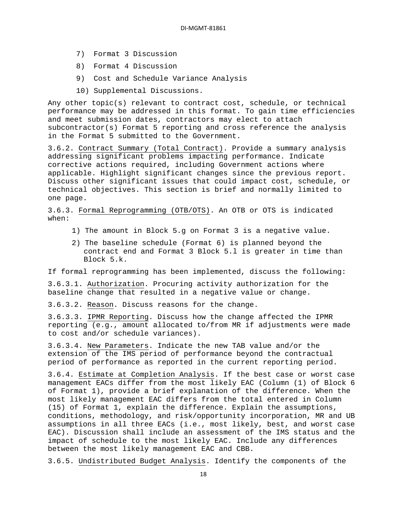- 7) Format 3 Discussion
- 8) Format 4 Discussion
- 9) Cost and Schedule Variance Analysis
- 10) Supplemental Discussions.

Any other topic(s) relevant to contract cost, schedule, or technical performance may be addressed in this format. To gain time efficiencies and meet submission dates, contractors may elect to attach subcontractor(s) Format 5 reporting and cross reference the analysis in the Format 5 submitted to the Government.

3.6.2. Contract Summary (Total Contract) . Provide a summary analysis addressing significant problems impacting performance. Indicate corrective actions required, including Government actions where applicable. Highlight significant changes since the previous report. Discuss other significant issues that could impact cost, schedule, or technical objectives. This section is brief and normally limited to one page.

3.6.3. Formal Reprogramming (OTB/OTS) . An OTB or OTS is indicated when:

- 1) The amount in Block 5.g on Format 3 is a negative value.
- 2) The baseline schedule (Format 6) is planned beyond the contract end and Format 3 Block 5.l is greater in time than Block 5.k.

If formal reprogramming has been implemented, discuss the following:

3.6.3.1. Authorization . Procuring activity authorization for the baseline change that resulted in a negative value or change.

3.6.3.2. Reason . Discuss reasons for the change.

3.6.3.3. IPMR Reporting . Discuss how the change affected the IPMR reporting (e.g., amount allocated to/from MR if adjustments were made to cost and/or schedule variances).

3.6.3.4. New Parameters . Indicate the new TAB value and/or the extension of the IMS period of performance beyond the contractual period of performance as reported in the current reporting period.

3.6.4. Estimate at Completion Analysis . If the best case or worst case management EACs differ from the most likely EAC (Column (1) of Block 6 of Format 1), provide a brief explanation of the difference. When the most likely management EAC differs from the total entered in Column (15) of Format 1, explain the difference. Explain the assumptions, conditions, methodology, and risk/opportunity incorporation, MR and UB assumptions in all three EACs (i.e., most likely, best, and worst case EAC). Discussion shall include an assessment of the IMS status and the impact of schedule to the most likely EAC. Include any differences between the most likely management EAC and CBB.

3.6.5. Undistributed Budget Analysis. Identify the components of the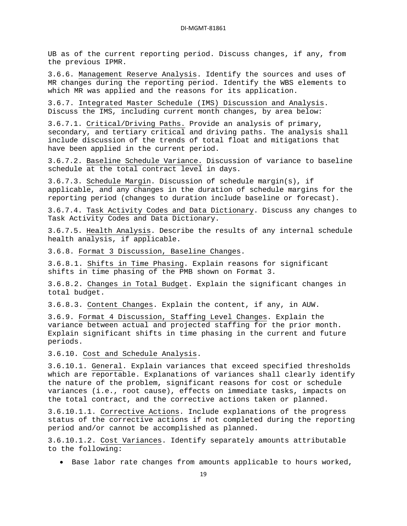UB as of the current reporting period. Discuss changes, if any, from the previous IPMR.

3.6.6. Management Reserve Analysis . Identify the sources and uses of MR changes during the reporting period. Identify the WBS elements to which MR was applied and the reasons for its application.

3.6.7. Integrated Master Schedule (IMS) Discussion and Analysis . Discuss the IMS, including current month changes, by area below:

3.6.7.1. Critical/Driving Paths. Provide an analysis of primary, secondary, and tertiary critical and driving paths. The analysis shall include discussion of the trends of total float and mitigations that have been applied in the current period.

3.6.7.2. Baseline Schedule Variance. Discussion of variance to baseline schedule at the total contract level in days.

3.6.7.3. Schedule Margin . Discussion of schedule margin(s), if applicable, and any changes in the duration of schedule margins for the reporting period (changes to duration include baseline or forecast).

3.6.7.4. Task Activity Codes and Data Dictionary . Discuss any changes to Task Activity Codes and Data Dictionary.

3.6.7.5. Health Analysis . Describe the results of any internal schedule health analysis, if applicable.

3.6.8. Format 3 Discussion, Baseline Changes .

3.6.8.1. Shifts in Time Phasing . Explain reasons for significant shifts in time phasing of the PMB shown on Format 3.

3.6.8.2. Changes in Total Budget . Explain the significant changes in total budget.

3.6.8.3. Content Changes . Explain the content, if any, in AUW.

3.6.9. Format 4 Discussion, Staffing Level Changes . Explain the variance between actual and projected staffing for the prior month. Explain significant shifts in time phasing in the current and future periods.

3.6.10. Cost and Schedule Analysis .

3.6.10.1. <u>General</u>. Explain variances that exceed specified thresholds which are reportable. Explanations of variances shall clearly identify the nature of the problem, significant reasons for cost or schedule variances (i.e., root cause), effects on immediate tasks, impacts on the total contract, and the corrective actions taken or planned.

3.6.10.1.1. Corrective Actions . Include explanations of the progress status of the corrective actions if not completed during the reporting period and/or cannot be accomplished as planned.

3.6.10.1.2. Cost Variances . Identify separately amounts attributable to the following:

• Base labor rate changes from amounts applicable to hours worked,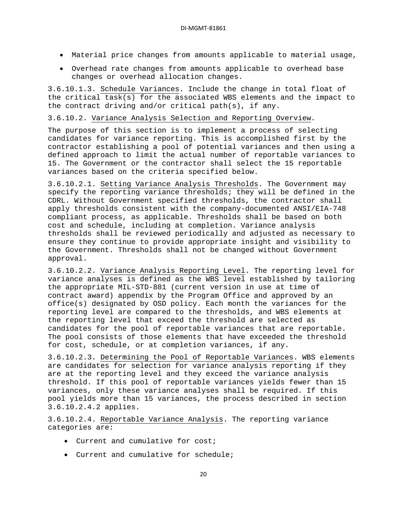- Material price changes from amounts applicable to material usage,
- Overhead rate changes from amounts applicable to overhead base changes or overhead allocation changes.

3.6.10.1.3. Schedule Variances . Include the change in total float of the critical task(s) for the associated WBS elements and the impact to the contract driving and/or critical path(s), if any.

3.6.10.2. Variance Analysis Selection and Reporting Overview .

The purpose of this section is to implement a process of selecting candidates for variance reporting. This is accomplished first by the contractor establishing a pool of potential variances and then using a defined approach to limit the actual number of reportable variances to 15. The Government or the contractor shall select the 15 reportable variances based on the criteria specified below.

3.6.10.2.1. Setting Variance Analysis Thresholds . The Government may specify the reporting variance thresholds; they will be defined in the CDRL. Without Government specified thresholds, the contractor shall apply thresholds consistent with the company-documented ANSI/EIA-748 compliant process, as applicable. Thresholds shall be based on both cost and schedule, including at completion. Variance analysis thresholds shall be reviewed periodically and adjusted as necessary to ensure they continue to provide appropriate insight and visibility to the Government. Thresholds shall not be changed without Government approval.

3.6.10.2.2. Variance Analysis Reporting Level . The reporting level for variance analyses is defined as the WBS level established by tailoring the appropriate MIL-STD-881 (current version in use at time of contract award) appendix by the Program Office and approved by an office(s) designated by OSD policy. Each month the variances for the reporting level are compared to the thresholds, and WBS elements at the reporting level that exceed the threshold are selected as candidates for the pool of reportable variances that are reportable. The pool consists of those elements that have exceeded the threshold for cost, schedule, or at completion variances, if any.

3.6.10.2.3. Determining the Pool of Reportable Variances . WBS elements are candidates for selection for variance analysis reporting if they are at the reporting level and they exceed the variance analysis threshold. If this pool of reportable variances yields fewer than 15 variances, only these variance analyses shall be required. If this pool yields more than 15 variances, the process described in section 3.6.10.2.4.2 applies.

3.6.10.2.4. Reportable Variance Analysis . The reporting variance categories are:

- Current and cumulative for cost;
- Current and cumulative for schedule;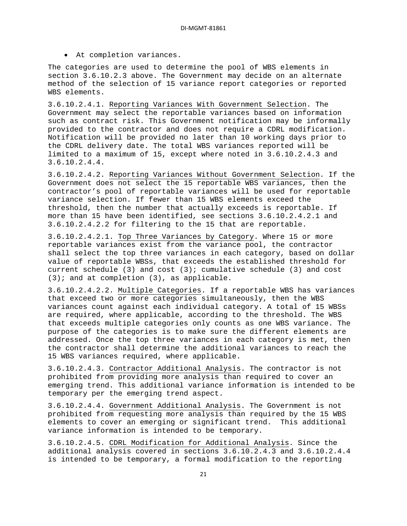• At completion variances.

The categories are used to determine the pool of WBS elements in section 3.6.10.2.3 above. The Government may decide on an alternate method of the selection of 15 variance report categories or reported WBS elements.

3.6.10.2.4.1. Reporting Variances With Government Selection . The Government may select the reportable variances based on information such as contract risk. This Government notification may be informally provided to the contractor and does not require a CDRL modification. Notification will be provided no later than 10 working days prior to the CDRL delivery date. The total WBS variances reported will be limited to a maximum of 15, except where noted in 3.6.10.2.4.3 and 3.6.10.2.4.4.

3.6.10.2.4.2. Reporting Variances Without Government Selection . If the Government does not select the 15 reportable WBS variances, then the contractor's pool of reportable variances will be used for reportable variance selection. If fewer than 15 WBS elements exceed the threshold, then the number that actually exceeds is reportable. If more than 15 have been identified, see sections 3.6.10.2.4.2.1 and 3.6.10.2.4.2.2 for filtering to the 15 that are reportable.

3.6.10.2.4.2.1. <u>Top Three Variances by Category</u>. Where 15 or more reportable variances exist from the variance pool, the contractor shall select the top three variances in each category, based on dollar value of reportable WBSs, that exceeds the established threshold for current schedule  $(3)$  and cost  $(3)$ ; cumulative schedule  $(3)$  and cost  $(3)$ ; and at completion  $(3)$ , as applicable.

3.6.10.2.4.2.2. Multiple Categories . If a reportable WBS has variances that exceed two or more categories simultaneously, then the WBS variances count against each individual category. A total of 15 WBSs are required, where applicable, according to the threshold. The WBS that exceeds multiple categories only counts as one WBS variance. The purpose of the categories is to make sure the different elements are addressed. Once the top three variances in each category is met, then the contractor shall determine the additional variances to reach the 15 WBS variances required, where applicable.

3.6.10.2.4.3. Contractor Additional Analysis . The contractor is not prohibited from providing more analysis than required to cover an emerging trend. This additional variance information is intended to be temporary per the emerging trend aspect.

3.6.10.2.4.4. Government Additional Analysis . The Government is not prohibited from requesting more analysis than required by the 15 WBS elements to cover an emerging or significant trend. This additional variance information is intended to be temporary.

3.6.10.2.4.5. CDRL Modification for Additional Analysis. Since the additional analysis covered in sections 3.6.10.2.4.3 and 3.6.10.2.4.4 is intended to be temporary, a formal modification to the reporting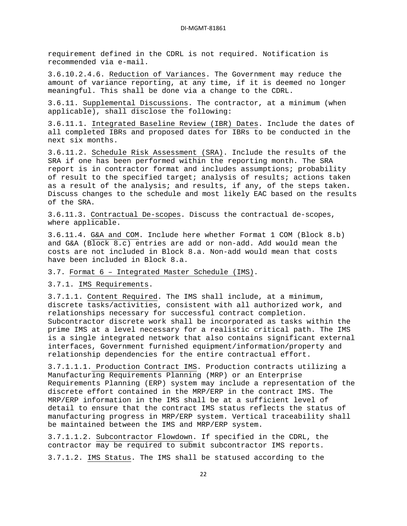requirement defined in the CDRL is not required. Notification is recommended via e-mail.

3.6.10.2.4.6. Reduction of Variances . The Government may reduce the amount of variance reporting, at any time, if it is deemed no longer meaningful. This shall be done via a change to the CDRL.

3.6.11. Supplemental Discussions . The contractor, at a minimum (when applicable), shall disclose the following:

3.6.11.1. Integrated Baseline Review (IBR) Dates . Include the dates of all completed IBRs and proposed dates for IBRs to be conducted in the next six months.

3.6.11.2. Schedule Risk Assessment (SRA) . Include the results of the SRA if one has been performed within the reporting month. The SRA report is in contractor format and includes assumptions; probability of result to the specified target; analysis of results; actions taken as a result of the analysis; and results, if any, of the steps taken. Discuss changes to the schedule and most likely EAC based on the results of the SRA.

3.6.11.3. Contractual De-scopes . Discuss the contractual de-scopes, where applicable.

3.6.11.4. G&A and COM . Include here whether Format 1 COM (Block 8.b) and G&A (Block 8.c) entries are add or non-add. Add would mean the costs are not included in Block 8.a. Non-add would mean that costs have been included in Block 8.a.

3.7. Format 6 – Integrated Master Schedule (IMS) .

3.7.1. IMS Requirements .

3.7.1.1. Content Required . The IMS shall include, at a minimum, discrete tasks/activities, consistent with all authorized work, and relationships necessary for successful contract completion. Subcontractor discrete work shall be incorporated as tasks within the prime IMS at a level necessary for a realistic critical path. The IMS is a single integrated network that also contains significant external interfaces, Government furnished equipment/information/property and relationship dependencies for the entire contractual effort.

3.7.1.1.1. Production Contract IMS. Production contracts utilizing a Manufacturing Requirements Planning (MRP) or an Enterprise Requirements Planning (ERP) system may include a representation of the discrete effort contained in the MRP/ERP in the contract IMS. The MRP/ERP information in the IMS shall be at a sufficient level of detail to ensure that the contract IMS status reflects the status of manufacturing progress in MRP/ERP system. Vertical traceability shall be maintained between the IMS and MRP/ERP system.

3.7.1.1.2. Subcontractor Flowdown . If specified in the CDRL, the 3.7.1.2. IMS Status. The IMS shall be statused according to the contractor may be required to submit subcontractor IMS reports.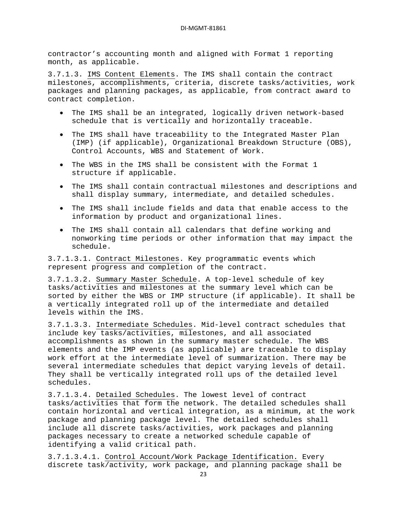contractor's accounting month and aligned with Format 1 reporting month, as applicable.

3.7.1.3. IMS Content Elements . The IMS shall contain the contract milestones, accomplishments, criteria, discrete tasks/activities, work packages and planning packages, as applicable, from contract award to contract completion.

- The IMS shall be an integrated, logically driven network-based schedule that is vertically and horizontally traceable.
- The IMS shall have traceability to the Integrated Master Plan (IMP) (if applicable), Organizational Breakdown Structure (OBS), Control Accounts, WBS and Statement of Work.
- The WBS in the IMS shall be consistent with the Format 1 structure if applicable.
- The IMS shall contain contractual milestones and descriptions and shall display summary, intermediate, and detailed schedules.
- The IMS shall include fields and data that enable access to the information by product and organizational lines.
- The IMS shall contain all calendars that define working and nonworking time periods or other information that may impact the schedule.

3.7.1.3.1. Contract Milestones . Key programmatic events which represent progress and completion of the contract.

3.7.1.3.2. <u>Summary Master Schedule</u>. A top-level schedule of key tasks/activities and milestones at the summary level which can be sorted by either the WBS or IMP structure (if applicable). It shall be a vertically integrated roll up of the intermediate and detailed levels within the IMS.

3.7.1.3.3. Intermediate Schedules . Mid-level contract schedules that include key tasks/activities, milestones, and all associated accomplishments as shown in the summary master schedule. The WBS elements and the IMP events (as applicable) are traceable to display work effort at the intermediate level of summarization. There may be several intermediate schedules that depict varying levels of detail. They shall be vertically integrated roll ups of the detailed level schedules.

3.7.1.3.4. Detailed Schedules . The lowest level of contract tasks/activities that form the network. The detailed schedules shall contain horizontal and vertical integration, as a minimum, at the work package and planning package level. The detailed schedules shall include all discrete tasks/activities, work packages and planning packages necessary to create a networked schedule capable of identifying a valid critical path.

3.7.1.3.4.1. Control Account/Work Package Identification. Every discrete task/activity, work package, and planning package shall be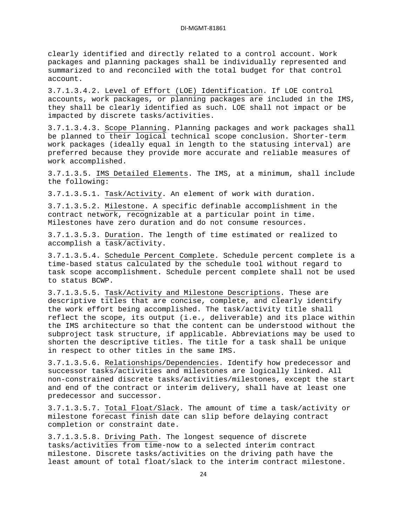clearly identified and directly related to a control account. Work packages and planning packages shall be individually represented and summarized to and reconciled with the total budget for that control account.

3.7.1.3.4.2. Level of Effort (LOE) Identification . If LOE control accounts, work packages, or planning packages are included in the IMS, they shall be clearly identified as such. LOE shall not impact or be impacted by discrete tasks/activities.

3.7.1.3.4.3. Scope Planning . Planning packages and work packages shall be planned to their logical technical scope conclusion. Shorter-term work packages (ideally equal in length to the statusing interval) are preferred because they provide more accurate and reliable measures of work accomplished.

3.7.1.3.5. IMS Detailed Elements . The IMS, at a minimum, shall include the following:

3.7.1.3.5.1. Task/Activity . An element of work with duration.

3.7.1.3.5.2. Milestone . A specific definable accomplishment in the contract network, recognizable at a particular point in time. Milestones have zero duration and do not consume resources.

3.7.1.3.5.3. <u>Duration</u>. The length of time estimated or realized to accomplish a task/activity.

3.7.1.3.5.4. Schedule Percent Complete . Schedule percent complete is a time-based status calculated by the schedule tool without regard to task scope accomplishment. Schedule percent complete shall not be used to status BCWP.

3.7.1.3.5.5. Task/Activity and Milestone Descriptions . These are descriptive titles that are concise, complete, and clearly identify the work effort being accomplished. The task/activity title shall reflect the scope, its output (i.e., deliverable) and its place within the IMS architecture so that the content can be understood without the subproject task structure, if applicable. Abbreviations may be used to shorten the descriptive titles. The title for a task shall be unique in respect to other titles in the same IMS.

3.7.1.3.5.6. <u>Relationships/Dependencies</u>. Identify how predecessor and successor tasks/activities and milestones are logically linked. All non-constrained discrete tasks/activities/milestones, except the start and end of the contract or interim delivery, shall have at least one predecessor and successor.

3.7.1.3.5.7. <u>Total Float/Slack</u>. The amount of time a task/activity or milestone forecast finish date can slip before delaying contract completion or constraint date.

3.7.1.3.5.8. Driving Path. The longest sequence of discrete tasks/activities from time-now to a selected interim contract milestone. Discrete tasks/activities on the driving path have the least amount of total float/slack to the interim contract milestone.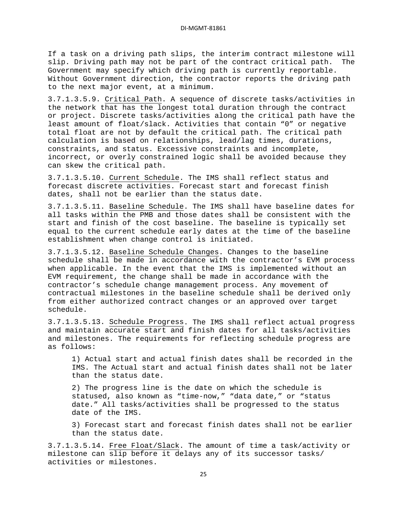If a task on a driving path slips, the interim contract milestone will slip. Driving path may not be part of the contract critical path. The Government may specify which driving path is currently reportable. Without Government direction, the contractor reports the driving path to the next major event, at a minimum.

3.7.1.3.5.9. Critical Path . A sequence of discrete tasks/activities in the network that has the longest total duration through the contract or project. Discrete tasks/activities along the critical path have the least amount of float/slack. Activities that contain "0" or negative total float are not by default the critical path. The critical path calculation is based on relationships, lead/lag times, durations, constraints, and status. Excessive constraints and incomplete, incorrect, or overly constrained logic shall be avoided because they can skew the critical path.

3.7.1.3.5.10. <u>Current Schedule</u>. The IMS shall reflect status and forecast discrete activities. Forecast start and forecast finish dates, shall not be earlier than the status date.

3.7.1.3.5.11. Baseline Schedule . The IMS shall have baseline dates for all tasks within the PMB and those dates shall be consistent with the start and finish of the cost baseline. The baseline is typically set equal to the current schedule early dates at the time of the baseline establishment when change control is initiated.

3.7.1.3.5.12. Baseline Schedule Changes . Changes to the baseline schedule shall be made in accordance with the contractor's EVM process when applicable. In the event that the IMS is implemented without an EVM requirement, the change shall be made in accordance with the contractor's schedule change management process. Any movement of contractual milestones in the baseline schedule shall be derived only from either authorized contract changes or an approved over target schedule.

3.7.1.3.5.13. Schedule Progress . The IMS shall reflect actual progress and maintain accurate start and finish dates for all tasks/activities and milestones. The requirements for reflecting schedule progress are as follows:

1) Actual start and actual finish dates shall be recorded in the IMS. The Actual start and actual finish dates shall not be later than the status date.

2) The progress line is the date on which the schedule is statused, also known as "time-now," "data date," or "status date." All tasks/activities shall be progressed to the status date of the IMS.

3) Forecast start and forecast finish dates shall not be earlier than the status date.

3.7.1.3.5.14. Free Float/Slack. The amount of time a task/activity or milestone can slip before it delays any of its successor tasks/ activities or milestones.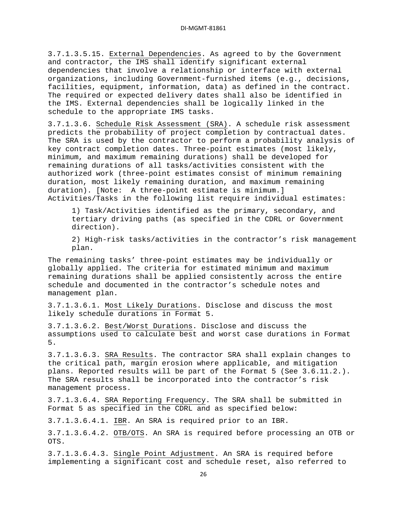3.7.1.3.5.15. External Dependencies . As agreed to by the Government and contractor, the IMS shall identify significant external dependencies that involve a relationship or interface with external organizations, including Government-furnished items (e.g., decisions, facilities, equipment, information, data) as defined in the contract. The required or expected delivery dates shall also be identified in the IMS. External dependencies shall be logically linked in the schedule to the appropriate IMS tasks.

3.7.1.3.6. <u>Schedule Risk Assessment (SRA)</u>. A schedule risk assessment predicts the probability of project completion by contractual dates. The SRA is used by the contractor to perform a probability analysis of key contract completion dates. Three-point estimates (most likely, minimum, and maximum remaining durations) shall be developed for remaining durations of all tasks/activities consistent with the authorized work (three-point estimates consist of minimum remaining duration, most likely remaining duration, and maximum remaining duration). [Note: A three-point estimate is minimum.] Activities/Tasks in the following list require individual estimates:

1) Task/Activities identified as the primary, secondary, and tertiary driving paths (as specified in the CDRL or Government direction).

2) High-risk tasks/activities in the contractor's risk management plan.

The remaining tasks' three-point estimates may be individually or globally applied. The criteria for estimated minimum and maximum remaining durations shall be applied consistently across the entire schedule and documented in the contractor's schedule notes and management plan.

3.7.1.3.6.1. Most Likely Durations . Disclose and discuss the most likely schedule durations in Format 5.

3.7.1.3.6.2. Best/Worst Durations . Disclose and discuss the assumptions used to calculate best and worst case durations in Format 5.

3.7.1.3.6.3. <u>SRA Results</u>. The contractor SRA shall explain changes to the critical path, margin erosion where applicable, and mitigation plans. Reported results will be part of the Format 5 (See 3.6.11.2.). The SRA results shall be incorporated into the contractor's risk management process.

3.7.1.3.6.4. <u>SRA Reporting Frequency</u>. The SRA shall be submitted in Format 5 as specified in the CDRL and as specified below:

3.7.1.3.6.4.1. <u>IBR</u>. An SRA is required prior to an IBR.

3.7.1.3.6.4.2. <u>OTB/OTS</u>. An SRA is required before processing an OTB or OTS.

3.7.1.3.6.4.3. Single Point Adjustment. An SRA is required before implementing a significant cost and schedule reset, also referred to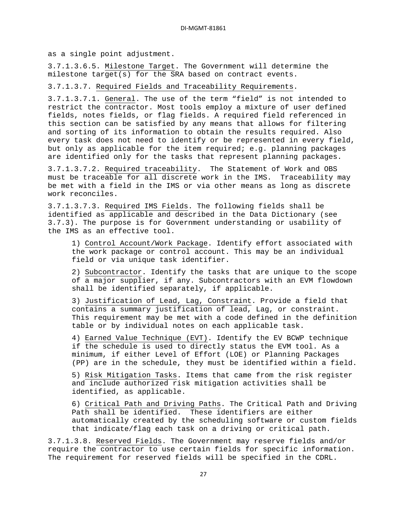as a single point adjustment.

3.7.1.3.6.5. Milestone Target . The Government will determine the milestone target(s) for the SRA based on contract events.

3.7.1.3.7. Required Fields and Traceability Requirements .

3.7.1.3.7.1. <u>General</u>. The use of the term "field" is not intended to restrict the contractor. Most tools employ a mixture of user defined fields, notes fields, or flag fields. A required field referenced in this section can be satisfied by any means that allows for filtering and sorting of its information to obtain the results required. Also every task does not need to identify or be represented in every field, but only as applicable for the item required; e.g. planning packages are identified only for the tasks that represent planning packages.

3.7.1.3.7.2. <u>Required traceability</u>. The Statement of Work and OBS must be traceable for all discrete work in the IMS. Traceability may be met with a field in the IMS or via other means as long as discrete work reconciles.

3.7.1.3.7.3. Required IMS Fields . The following fields shall be identified as applicable and described in the Data Dictionary (see 3.7.3). The purpose is for Government understanding or usability of the IMS as an effective tool.

1) Control Account/Work Package . Identify effort associated with the work package or control account. This may be an individual field or via unique task identifier.

2) Subcontractor . Identify the tasks that are unique to the scope of a major supplier, if any. Subcontractors with an EVM flowdown shall be identified separately, if applicable.

3) Justification of Lead, Lag, Constraint . Provide a field that contains a summary justification of lead, Lag, or constraint. This requirement may be met with a code defined in the definition table or by individual notes on each applicable task.

4) Earned Value Technique (EVT) . Identify the EV BCWP technique if the schedule is used to directly status the EVM tool. As a minimum, if either Level of Effort (LOE) or Planning Packages (PP) are in the schedule, they must be identified within a field.

5) Risk Mitigation Tasks . Items that came from the risk register and include authorized risk mitigation activities shall be identified, as applicable.

6) Critical Path and Driving Paths . The Critical Path and Driving Path shall be identified. These identifiers are either automatically created by the scheduling software or custom fields that indicate/flag each task on a driving or critical path.

3.7.1.3.8. Reserved Fields. The Government may reserve fields and/or require the contractor to use certain fields for specific information. The requirement for reserved fields will be specified in the CDRL.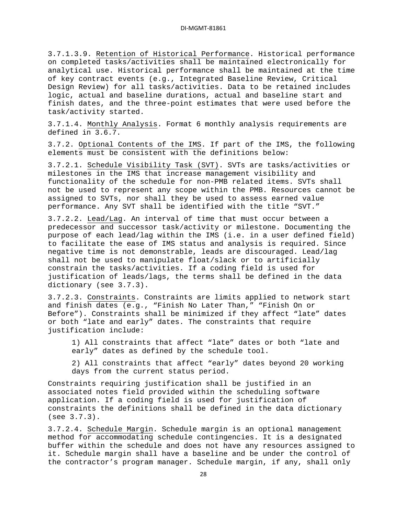3.7.1.3.9. Retention of Historical Performance . Historical performance on completed tasks/activities shall be maintained electronically for analytical use. Historical performance shall be maintained at the time of key contract events (e.g., Integrated Baseline Review, Critical Design Review) for all tasks/activities. Data to be retained includes logic, actual and baseline durations, actual and baseline start and finish dates, and the three-point estimates that were used before the task/activity started.

3.7.1.4. Monthly Analysis . Format 6 monthly analysis requirements are defined in 3.6.7.

3.7.2. Optional Contents of the IMS . If part of the IMS, the following elements must be consistent with the definitions below:

3.7.2.1. Schedule Visibility Task (SVT) . SVTs are tasks/activities or milestones in the IMS that increase management visibility and functionality of the schedule for non-PMB related items. SVTs shall not be used to represent any scope within the PMB. Resources cannot be assigned to SVTs, nor shall they be used to assess earned value performance. Any SVT shall be identified with the title "SVT."

3.7.2.2. Lead/Lag . An interval of time that must occur between a predecessor and successor task/activity or milestone. Documenting the purpose of each lead/lag within the IMS (i.e. in a user defined field) to facilitate the ease of IMS status and analysis is required. Since negative time is not demonstrable, leads are discouraged. Lead/lag shall not be used to manipulate float/slack or to artificially constrain the tasks/activities. If a coding field is used for justification of leads/lags, the terms shall be defined in the data dictionary (see 3.7.3).

3.7.2.3. <u>Constraints</u>. Constraints are limits applied to network start and finish dates (e.g., "Finish No Later Than," "Finish On or Before"). Constraints shall be minimized if they affect "late" dates or both "late and early" dates. The constraints that require justification include:

1) All constraints that affect "late" dates or both "late and early" dates as defined by the schedule tool.

2) All constraints that affect "early" dates beyond 20 working days from the current status period.

Constraints requiring justification shall be justified in an associated notes field provided within the scheduling software application. If a coding field is used for justification of constraints the definitions shall be defined in the data dictionary (see 3.7.3).

3.7.2.4. Schedule Margin. Schedule margin is an optional management method for accommodating schedule contingencies. It is a designated buffer within the schedule and does not have any resources assigned to it. Schedule margin shall have a baseline and be under the control of the contractor's program manager. Schedule margin, if any, shall only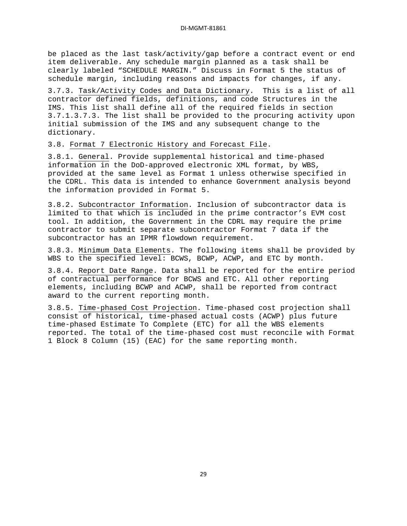be placed as the last task/activity/gap before a contract event or end item deliverable. Any schedule margin planned as a task shall be clearly labeled "SCHEDULE MARGIN." Discuss in Format 5 the status of schedule margin, including reasons and impacts for changes, if any.

3.7.3. Task/Activity Codes and Data Dictionary . This is a list of all contractor defined fields, definitions, and code Structures in the IMS. This list shall define all of the required fields in section 3.7.1.3.7.3. The list shall be provided to the procuring activity upon initial submission of the IMS and any subsequent change to the dictionary.

3.8. Format 7 Electronic History and Forecast File .

3.8.1. General. Provide supplemental historical and time-phased information in the DoD-approved electronic XML format, by WBS, provided at the same level as Format 1 unless otherwise specified in the CDRL. This data is intended to enhance Government analysis beyond the information provided in Format 5.

3.8.2. Subcontractor Information . Inclusion of subcontractor data is limited to that which is included in the prime contractor's EVM cost tool. In addition, the Government in the CDRL may require the prime contractor to submit separate subcontractor Format 7 data if the subcontractor has an IPMR flowdown requirement.

3.8.3. Minimum Data Elements . The following items shall be provided by WBS to the specified level: BCWS, BCWP, ACWP, and ETC by month.

3.8.4. Report Date Range . Data shall be reported for the entire period of contractual performance for BCWS and ETC. All other reporting elements, including BCWP and ACWP, shall be reported from contract award to the current reporting month.

3.8.5. Time-phased Cost Projection . Time-phased cost projection shall consist of historical, time-phased actual costs (ACWP) plus future time-phased Estimate To Complete (ETC) for all the WBS elements reported. The total of the time-phased cost must reconcile with Format 1 Block 8 Column (15) (EAC) for the same reporting month.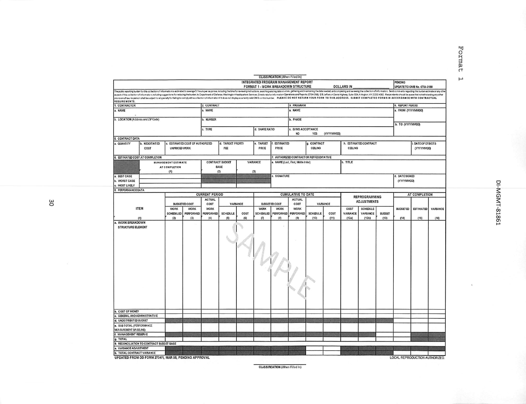**CLASSIFICATION** (When Filled In) **INTEGRATED PROGRAM MANAGEMENT REPORT** PENDING **FORMAT 1 - WORK BREAKDOWN STRUCTURE DOLLARS IN** UPDATE TO OMB No. 0704-0188 The public reporting burden to the content of the material content of the sense of hours per response, including the first of the public state in the content of the content of the content of the content of the content of t 2. CONTRACT 3. PROGRAM 4. REPORT PERIOD 1. CONTRACTOR a. NAME MAME a. NAME L FROM (YYYYMMDD) b. LOCATION (Address and ZIP Code) **NUMBER b. PHASE** b. TO (YYYYMMDD) c. TYPE d. SHARE RATIO . EVMS ACCEPTANCE **NO** (YYYYMMDD) YES **5. CONTRACT DATA** a. QUANTITY b. NEGOTIATED c. ESTIMATED COST OF AUTHORIZED d. TARGET PROFIT/ e. TARGET | I. ESTIMATED g. CONTRACT h. ESTIMATED CONTRACT **L DATE OF OTBIOTS** CBLING COST UNPRICED WORK FŒ PRICE PRICE CHLING (YYYYMMDD) **6. ESTIMATED COST AT COMPLETION** 7. AUTHORIZED CONTRACTOR REPRESENTATIVE **CONTRACT BUDGET** VARIANCE b. TITLE MANAGEMENT ESTIMATE a. NAME (Last, Frst, Middle Initial) BASE AT COMPLETION  $(2)$  $(1)$  $(3)$ a. BEST CASE SIGNATURE d. DATE SIGNED **b. WORST CASE** (YYYYMMDD) MOST LIKELY 8. PERFORMANCE DATA **CURRENT PERIOD CUMULATIVE TO DATE** AT COMPLETION REPROGRAMMING ACTUAL ACTUAL **ADJUSTMENTS BUDGETED COST** VARIANCE **BUDGETED COST** VARIANCE COST COST **ITEM WORK WORK WORK WORK WORK WORK** COST **SCHEDULE BUDGETED** ESTIMATED VARIANCE SCHEDULED PERFORMED PERFORMED **VARIANCE** VARIANCE SCHEDULED PERFORMED **PERFORMED** SCHEDULE COST **SCHEDULE** COST **BUDGET**  $(1)$  $(2)$  $(3)$  $(4)$  $(5)$  $(6)$  $(7)$  $(8)$  $(9)$  $(10)$  $(11)$  $(12a)$  $(12b)$  $(13)$  $(14)$  $(15)$  $(16)$ a. WORK BREAKDOWN STRUCTURE ELEMENT **b. COST OF MONEY** c. GENERAL AND ADMINISTRATIVE d. UNDISTRIBUTED BUDGET e. SUB TOTAL (FERFORMANCE **MEASUREMENT BASELINE** . MANAGEMENT RESERVE . TOTAL 9. RECONCILIATION TO CONTRACT BUDGET BASE VARIANCE ADJUSTMENT **b. TOTAL CONTRACT VARIANCE** UPDATED FROM DD FORM 2734/1, MAR 05, PENDING APPROVAL LOCAL REPRODUCTION AUTHORIZED.

3O

DI-MGMT-81861

Format

 $\mathsf{H}$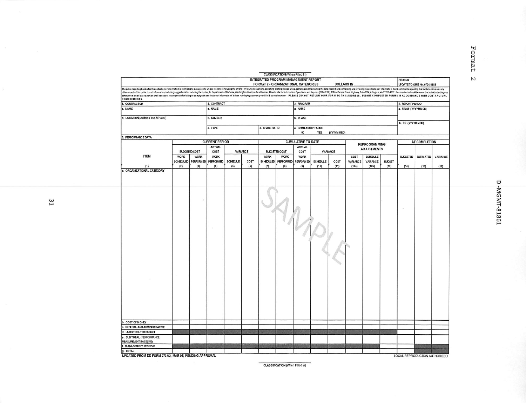|                                                                                                                                                                                                                                                                                                                                                                                                                                                                  |             |                       |                       |                 |          |                                      | CLASSIFICATION (When Filled In)   |                           |                 |                   |          |                      |               |                             |                  |          |
|------------------------------------------------------------------------------------------------------------------------------------------------------------------------------------------------------------------------------------------------------------------------------------------------------------------------------------------------------------------------------------------------------------------------------------------------------------------|-------------|-----------------------|-----------------------|-----------------|----------|--------------------------------------|-----------------------------------|---------------------------|-----------------|-------------------|----------|----------------------|---------------|-----------------------------|------------------|----------|
|                                                                                                                                                                                                                                                                                                                                                                                                                                                                  |             |                       |                       |                 |          | INTEGRATED PROGRAM MANAGEMENT REPORT |                                   |                           |                 |                   |          |                      |               | PENDING                     |                  |          |
|                                                                                                                                                                                                                                                                                                                                                                                                                                                                  |             |                       |                       |                 |          | FORMAT 2 - ORGANIZATIONAL CATEGORIES |                                   |                           |                 | <b>DOLLARS IN</b> |          |                      |               | UPDATE TO OMB No. 0704-0188 |                  |          |
| The public reporting burden for this collection of information is estimated to average & hours per response, including the timefor reviewing instructions, searching axisting data sources, gathering and maintaining the data<br>other aspect of this collection of information, including suggestions for reducing the burden, to Department of Defense, Washington Headquarters Services, Directorate for Information Operations and Reports (0704-0185), 125 |             |                       |                       |                 |          |                                      |                                   |                           |                 |                   |          |                      |               |                             |                  |          |
| other provision of law, no person shall be subject to any penalty for failing to comply with a collection of information if a does not display a currently valid OMB control number. PLEASE DO NOT RETURN YOUR FORM TO THIS AD                                                                                                                                                                                                                                   |             |                       |                       |                 |          |                                      |                                   |                           |                 |                   |          |                      |               |                             |                  |          |
| REQUIREMENTS.                                                                                                                                                                                                                                                                                                                                                                                                                                                    |             |                       |                       |                 |          |                                      |                                   |                           |                 |                   |          |                      |               |                             |                  |          |
| 1. CONTRACTOR                                                                                                                                                                                                                                                                                                                                                                                                                                                    |             |                       | 2. CONTRACT           |                 |          |                                      |                                   | 3. PROGRAM                |                 |                   |          |                      |               | 4. REPORT PERIOD            |                  |          |
| a. NAME                                                                                                                                                                                                                                                                                                                                                                                                                                                          |             |                       | a. NAME               |                 |          |                                      |                                   | a. NAME                   |                 |                   |          |                      |               | a. FROM (YYYYMMDD)          |                  |          |
|                                                                                                                                                                                                                                                                                                                                                                                                                                                                  |             |                       |                       |                 |          |                                      |                                   |                           |                 |                   |          |                      |               |                             |                  |          |
| b. LOCATION (Address and ZIP Code)                                                                                                                                                                                                                                                                                                                                                                                                                               |             |                       | b. NUMBER             |                 |          |                                      |                                   | <b>b. PHASE</b>           |                 |                   |          |                      |               |                             |                  |          |
|                                                                                                                                                                                                                                                                                                                                                                                                                                                                  |             |                       |                       |                 |          |                                      |                                   |                           |                 |                   |          |                      |               | b. TO (YYYYMMDD)            |                  |          |
|                                                                                                                                                                                                                                                                                                                                                                                                                                                                  |             |                       | c. TYPE               |                 |          | d. SHARE RATIO                       |                                   | c. EVMS ACCEPTANCE<br>NO. | <b>YES</b>      |                   |          |                      |               |                             |                  |          |
| 5. PERFORMANCE DATA                                                                                                                                                                                                                                                                                                                                                                                                                                              |             |                       |                       |                 |          |                                      |                                   |                           |                 | (YYYYMMDD)        |          |                      |               |                             |                  |          |
|                                                                                                                                                                                                                                                                                                                                                                                                                                                                  |             |                       | <b>CURRENT PERIOD</b> |                 |          |                                      |                                   | <b>CUMULATIVE TO DATE</b> |                 |                   |          |                      |               |                             | AT COMPLETION    |          |
|                                                                                                                                                                                                                                                                                                                                                                                                                                                                  |             |                       | <b>ACTUAL</b>         |                 |          |                                      |                                   | <b>ACTUAL</b>             |                 |                   |          | <b>REPROGRAMMING</b> |               |                             |                  |          |
|                                                                                                                                                                                                                                                                                                                                                                                                                                                                  |             | <b>BUDGETED COST</b>  | COST                  |                 | VARIANCE |                                      | <b>BUDGETED COST</b>              | COST                      |                 | VARIANCE          |          | <b>ADJUSTMENTS</b>   |               |                             |                  |          |
| <b>ITEM</b>                                                                                                                                                                                                                                                                                                                                                                                                                                                      | <b>WORK</b> | <b>WORK</b>           | <b>WORK</b>           |                 |          | <b>WORK</b>                          | <b>WORK</b>                       | <b>WORK</b>               |                 |                   | COST     | <b>SCHEDULE</b>      |               | <b>BUDGETED</b>             | <b>ESTIMATED</b> | VARIANCE |
|                                                                                                                                                                                                                                                                                                                                                                                                                                                                  |             | SCHEDULED   PERFORMED | PERFORMED             | <b>SCHEDULE</b> | COST     |                                      | SCHEDULED   PERFORMED   PERFORMED |                           | <b>SCHEDULE</b> | COST              | VARIANCE | VARIANCE             | <b>BUDGET</b> |                             |                  |          |
|                                                                                                                                                                                                                                                                                                                                                                                                                                                                  | (2)         | (3)                   | (4)                   | (5)             | (6)      | (7)                                  |                                   | (9)                       | (10)            | (11)              | (12a)    | (12b)                | (13)          | (14)                        |                  |          |
| (1)<br>a. ORGANIZATIONAL CATEGORY                                                                                                                                                                                                                                                                                                                                                                                                                                |             |                       |                       |                 |          |                                      | (8)                               |                           |                 |                   |          |                      |               |                             | (15)             | (16)     |
|                                                                                                                                                                                                                                                                                                                                                                                                                                                                  |             |                       |                       |                 |          |                                      |                                   |                           |                 |                   |          |                      |               |                             |                  |          |
|                                                                                                                                                                                                                                                                                                                                                                                                                                                                  |             |                       |                       |                 |          |                                      |                                   |                           |                 |                   |          |                      |               |                             |                  |          |
|                                                                                                                                                                                                                                                                                                                                                                                                                                                                  |             |                       |                       |                 |          |                                      |                                   |                           |                 |                   |          |                      |               |                             |                  |          |
|                                                                                                                                                                                                                                                                                                                                                                                                                                                                  |             |                       |                       |                 |          |                                      |                                   |                           |                 |                   |          |                      |               |                             |                  |          |
|                                                                                                                                                                                                                                                                                                                                                                                                                                                                  |             |                       |                       |                 |          |                                      |                                   |                           |                 |                   |          |                      |               |                             |                  |          |
|                                                                                                                                                                                                                                                                                                                                                                                                                                                                  |             |                       |                       |                 |          |                                      |                                   |                           |                 |                   |          |                      |               |                             |                  |          |
|                                                                                                                                                                                                                                                                                                                                                                                                                                                                  |             |                       |                       |                 |          |                                      |                                   |                           |                 |                   |          |                      |               |                             |                  |          |
|                                                                                                                                                                                                                                                                                                                                                                                                                                                                  |             |                       |                       |                 |          |                                      |                                   |                           |                 |                   |          |                      |               |                             |                  |          |
|                                                                                                                                                                                                                                                                                                                                                                                                                                                                  |             |                       |                       |                 |          |                                      |                                   |                           |                 |                   |          |                      |               |                             |                  |          |
|                                                                                                                                                                                                                                                                                                                                                                                                                                                                  |             |                       |                       |                 |          |                                      |                                   |                           |                 |                   |          |                      |               |                             |                  |          |
|                                                                                                                                                                                                                                                                                                                                                                                                                                                                  |             |                       |                       |                 |          |                                      |                                   |                           |                 |                   |          |                      |               |                             |                  |          |
|                                                                                                                                                                                                                                                                                                                                                                                                                                                                  |             |                       |                       |                 |          |                                      |                                   |                           |                 |                   |          |                      |               |                             |                  |          |
|                                                                                                                                                                                                                                                                                                                                                                                                                                                                  |             |                       |                       |                 |          |                                      |                                   |                           |                 |                   |          |                      |               |                             |                  |          |
|                                                                                                                                                                                                                                                                                                                                                                                                                                                                  |             |                       |                       |                 |          |                                      |                                   |                           |                 |                   |          |                      |               |                             |                  |          |
|                                                                                                                                                                                                                                                                                                                                                                                                                                                                  |             |                       |                       |                 |          |                                      |                                   |                           |                 |                   |          |                      |               |                             |                  |          |
|                                                                                                                                                                                                                                                                                                                                                                                                                                                                  |             |                       |                       |                 |          |                                      |                                   |                           |                 |                   |          |                      |               |                             |                  |          |
|                                                                                                                                                                                                                                                                                                                                                                                                                                                                  |             |                       |                       |                 |          |                                      |                                   |                           |                 |                   |          |                      |               |                             |                  |          |
|                                                                                                                                                                                                                                                                                                                                                                                                                                                                  |             |                       |                       |                 |          |                                      |                                   |                           |                 |                   |          |                      |               |                             |                  |          |
|                                                                                                                                                                                                                                                                                                                                                                                                                                                                  |             |                       |                       |                 |          |                                      |                                   |                           |                 |                   |          |                      |               |                             |                  |          |
|                                                                                                                                                                                                                                                                                                                                                                                                                                                                  |             |                       |                       |                 |          |                                      |                                   |                           |                 |                   |          |                      |               |                             |                  |          |
|                                                                                                                                                                                                                                                                                                                                                                                                                                                                  |             |                       |                       |                 |          |                                      |                                   |                           |                 |                   |          |                      |               |                             |                  |          |
|                                                                                                                                                                                                                                                                                                                                                                                                                                                                  |             |                       |                       |                 |          |                                      |                                   |                           |                 |                   |          |                      |               |                             |                  |          |
|                                                                                                                                                                                                                                                                                                                                                                                                                                                                  |             |                       |                       |                 |          |                                      |                                   |                           |                 |                   |          |                      |               |                             |                  |          |
|                                                                                                                                                                                                                                                                                                                                                                                                                                                                  |             |                       |                       |                 |          |                                      |                                   |                           |                 |                   |          |                      |               |                             |                  |          |
|                                                                                                                                                                                                                                                                                                                                                                                                                                                                  |             |                       |                       |                 |          |                                      |                                   |                           |                 |                   |          |                      |               |                             |                  |          |
|                                                                                                                                                                                                                                                                                                                                                                                                                                                                  |             |                       |                       |                 |          |                                      |                                   |                           |                 |                   |          |                      |               |                             |                  |          |
|                                                                                                                                                                                                                                                                                                                                                                                                                                                                  |             |                       |                       |                 |          |                                      |                                   |                           |                 |                   |          |                      |               |                             |                  |          |
|                                                                                                                                                                                                                                                                                                                                                                                                                                                                  |             |                       |                       |                 |          |                                      |                                   |                           |                 |                   |          |                      |               |                             |                  |          |
|                                                                                                                                                                                                                                                                                                                                                                                                                                                                  |             |                       |                       |                 |          |                                      |                                   |                           |                 |                   |          |                      |               |                             |                  |          |
|                                                                                                                                                                                                                                                                                                                                                                                                                                                                  |             |                       |                       |                 |          |                                      |                                   |                           |                 |                   |          |                      |               |                             |                  |          |
|                                                                                                                                                                                                                                                                                                                                                                                                                                                                  |             |                       |                       |                 |          |                                      |                                   |                           |                 |                   |          |                      |               |                             |                  |          |
|                                                                                                                                                                                                                                                                                                                                                                                                                                                                  |             |                       |                       |                 |          |                                      |                                   |                           |                 |                   |          |                      |               |                             |                  |          |
|                                                                                                                                                                                                                                                                                                                                                                                                                                                                  |             |                       |                       |                 |          |                                      |                                   |                           |                 |                   |          |                      |               |                             |                  |          |
|                                                                                                                                                                                                                                                                                                                                                                                                                                                                  |             |                       |                       |                 |          |                                      |                                   |                           |                 |                   |          |                      |               |                             |                  |          |
|                                                                                                                                                                                                                                                                                                                                                                                                                                                                  |             |                       |                       |                 |          |                                      |                                   |                           |                 |                   |          |                      |               |                             |                  |          |
|                                                                                                                                                                                                                                                                                                                                                                                                                                                                  |             |                       |                       |                 |          |                                      |                                   |                           |                 |                   |          |                      |               |                             |                  |          |
|                                                                                                                                                                                                                                                                                                                                                                                                                                                                  |             |                       |                       |                 |          |                                      |                                   |                           |                 |                   |          |                      |               |                             |                  |          |
|                                                                                                                                                                                                                                                                                                                                                                                                                                                                  |             |                       |                       |                 |          |                                      |                                   |                           |                 |                   |          |                      |               |                             |                  |          |
|                                                                                                                                                                                                                                                                                                                                                                                                                                                                  |             |                       |                       |                 |          |                                      |                                   |                           |                 |                   |          |                      |               |                             |                  |          |
| <b>b. COST OF MONEY</b><br>c. GENERAL AND ADMINISTRATIVE<br>d. UNDISTRIBUTED BUDGET<br>e. SUB TOTAL (FERFORMANCE<br>MEASUREMENT BASELINE)<br>. MANAGEMENT RESERVE                                                                                                                                                                                                                                                                                                |             |                       |                       |                 |          |                                      |                                   |                           |                 |                   |          |                      |               |                             |                  |          |

CLASSIRCATION (When Filled In)

Ξ

# DI-MGMT-81861

Format

 $\mathbf{z}$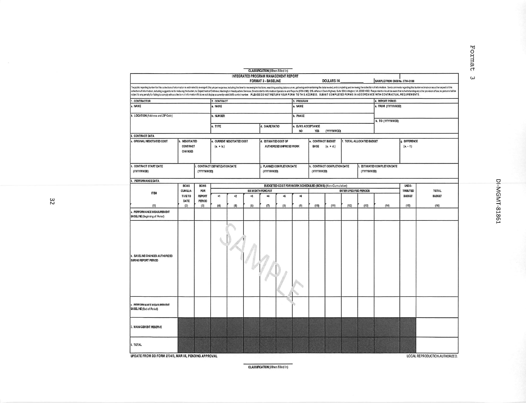|                                                                                                                                                                                                                                                                                                                                                                                                                                                                  |                                                 |                      |                                                                                     |                            |            | <b>CLASSIFICATION</b> (When Filled In)                             |                          |                 |                                                                     |                             |      |                  |                               |                                 |               |
|------------------------------------------------------------------------------------------------------------------------------------------------------------------------------------------------------------------------------------------------------------------------------------------------------------------------------------------------------------------------------------------------------------------------------------------------------------------|-------------------------------------------------|----------------------|-------------------------------------------------------------------------------------|----------------------------|------------|--------------------------------------------------------------------|--------------------------|-----------------|---------------------------------------------------------------------|-----------------------------|------|------------------|-------------------------------|---------------------------------|---------------|
|                                                                                                                                                                                                                                                                                                                                                                                                                                                                  |                                                 |                      |                                                                                     |                            |            | INTEGRATED PROGRAM MANAGEMENT REPORT<br><b>FORMAT 3 - BASELINE</b> |                          |                 |                                                                     | <b>DOLLARS IN</b>           |      |                  | SAMPLE FROM OMB No. 0704-0188 |                                 |               |
| The public regording burden for this collection of information is estimated to average 6.3 hours per response, including the time for reviewing instructions, searching existing data sources, gathering and maintaining the d                                                                                                                                                                                                                                   |                                                 |                      |                                                                                     |                            |            |                                                                    |                          |                 |                                                                     |                             |      |                  |                               |                                 |               |
| collection of information, including suggestions for reducing the burden, to Department of Defense, Washington Headquarters Services, Directorate for information Operations and Reports (0704-0168), 126 afferson Davis Highw<br>subject to any penalty for falling to comply with a collection of information if t does not display a currently valid OMB control number. PLEASE DO NOT RETURN YOUR FOR M TO THIS ADDRESS. SUBMIT COMPLETED FOR MS IN ACCORDAN |                                                 |                      |                                                                                     |                            |            |                                                                    |                          |                 |                                                                     |                             |      |                  |                               |                                 |               |
| 1. CONTRACTOR                                                                                                                                                                                                                                                                                                                                                                                                                                                    | 2. CONTRACT                                     |                      |                                                                                     |                            | 3. PROGRAM |                                                                    |                          |                 |                                                                     | 4. REPORT PERICO            |      |                  |                               |                                 |               |
| A. NAME                                                                                                                                                                                                                                                                                                                                                                                                                                                          |                                                 |                      | a. NAME                                                                             |                            |            |                                                                    | a. NAME                  |                 |                                                                     |                             |      |                  |                               | a. FROM (YYYYMMDD)              |               |
| b. LOCATION (Address and ZP Code)                                                                                                                                                                                                                                                                                                                                                                                                                                |                                                 |                      | b. NUMBER                                                                           |                            |            |                                                                    |                          | <b>b. PHASE</b> |                                                                     |                             |      | b. TO (YYYYMMDD) |                               |                                 |               |
|                                                                                                                                                                                                                                                                                                                                                                                                                                                                  | c. TYPE                                         |                      |                                                                                     | d. SHARE RATIO             |            | c. EVMS ACCEPTANCE<br>ю                                            | YES                      | (YYYYMMDD)      |                                                                     |                             |      |                  |                               |                                 |               |
| <b>CONTRACT DATA</b>                                                                                                                                                                                                                                                                                                                                                                                                                                             |                                                 |                      |                                                                                     |                            |            |                                                                    |                          |                 |                                                                     |                             |      |                  |                               |                                 |               |
| ORIGINAL NEGOTIATED COST                                                                                                                                                                                                                                                                                                                                                                                                                                         | <b>NEGOTIATED</b><br><b>CONTRACT</b><br>CHANGES |                      | $(a + b)$                                                                           | c. CURRENT NEGOTIATED COST |            | d. ESTIMATED COST OF                                               | AUTHORIZED UNPRICED WORK |                 | CONTRACT BUDGET<br>f. TOTAL ALLOCATED BUDGET<br>BASE<br>$(a. + d.)$ |                             |      |                  | g. DFFERENCE<br>$(0. - 1)$    |                                 |               |
| . CONTRACT START DATE<br>(YYYYMMDD)                                                                                                                                                                                                                                                                                                                                                                                                                              |                                                 | (YYYYMMDD)           | CONTRACT DEFINITIZATION DATE                                                        |                            |            | (YYYYMMDD)                                                         | PLANED COMPLETION DATE   |                 | (YYYYMMDD)                                                          | k. CONTRACT COMPLETION DATE |      | (YYYYMMDD)       | . ESTIMATED COMPLETION DATE   |                                 |               |
| <b>PERFORMANCE DATA</b>                                                                                                                                                                                                                                                                                                                                                                                                                                          |                                                 |                      |                                                                                     |                            |            |                                                                    |                          |                 |                                                                     |                             |      |                  |                               | uvas-                           |               |
| <b>BCWS</b><br>CUMULA-<br><b>ITEM</b><br><b>TIVETO</b>                                                                                                                                                                                                                                                                                                                                                                                                           |                                                 | <b>BCWS</b>          | BUDGETED COST FOR WORK SCHEDULED (BCWS) (Non-Cumulative)<br>ENTER SPECIFIED PERIODS |                            |            |                                                                    |                          |                 |                                                                     |                             |      |                  | <b>TOTAL</b>                  |                                 |               |
|                                                                                                                                                                                                                                                                                                                                                                                                                                                                  |                                                 | FOR<br><b>REPORT</b> | $+1$                                                                                | $+2$                       | $+3$       | SIX MONTH FORCAST<br>$+4$                                          | +5                       | $+6$            |                                                                     |                             |      |                  |                               | <b>TRBUTED</b><br><b>BUDGET</b> | <b>BUDGET</b> |
| (1)                                                                                                                                                                                                                                                                                                                                                                                                                                                              | DATE<br>(2)                                     | PERIOD<br>(3)        | (4)                                                                                 | (5)                        | (6)        | (7)                                                                | (8)                      | (9)             | (10)                                                                | (11)                        | (12) | (13)             | (14)                          | (15)                            | (16)          |
| A. PERFORMANCE MEASUREMENT<br>BASELINE (Beginning of Period)                                                                                                                                                                                                                                                                                                                                                                                                     |                                                 |                      |                                                                                     |                            |            |                                                                    |                          |                 |                                                                     |                             |      |                  |                               |                                 |               |
| . BASELINE CHANGES AUTHORIZED<br>DURING REPORT PERIOD                                                                                                                                                                                                                                                                                                                                                                                                            |                                                 |                      |                                                                                     |                            |            |                                                                    |                          |                 |                                                                     |                             |      |                  |                               |                                 |               |
| . PERFORMANCE MEASUREMENT<br><b>BASELINE</b> (End of Period)                                                                                                                                                                                                                                                                                                                                                                                                     |                                                 |                      |                                                                                     |                            |            |                                                                    |                          |                 |                                                                     |                             |      |                  |                               |                                 |               |
| 7. MANAGEMENT RESERVE                                                                                                                                                                                                                                                                                                                                                                                                                                            |                                                 |                      |                                                                                     |                            |            |                                                                    |                          |                 |                                                                     |                             |      |                  |                               |                                 |               |
| 8. TOTAL                                                                                                                                                                                                                                                                                                                                                                                                                                                         |                                                 |                      |                                                                                     |                            |            |                                                                    |                          |                 |                                                                     |                             |      |                  |                               |                                 |               |

CLASSIFICATION (When Filled In)

32

DI-MGMT-81861

Format

 $\omega$